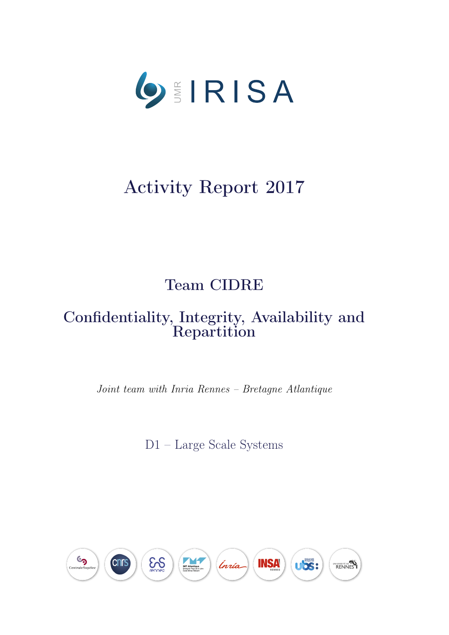

# Activity Report 2017

# Team CIDRE

## Confidentiality, Integrity, Availability and Repartition

Joint team with Inria Rennes – Bretagne Atlantique

D1 – Large Scale Systems

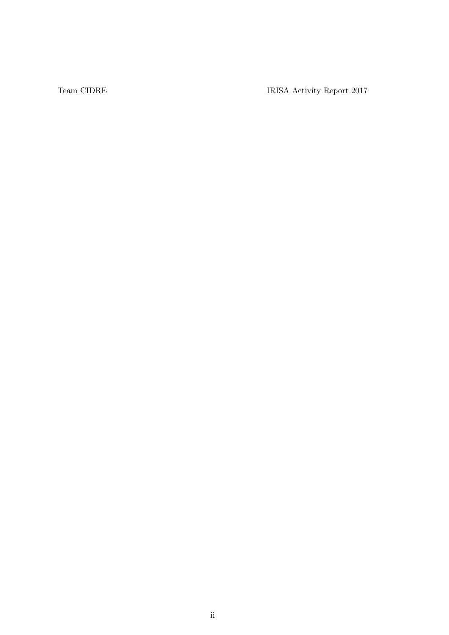Team CIDRE IRISA Activity Report 2017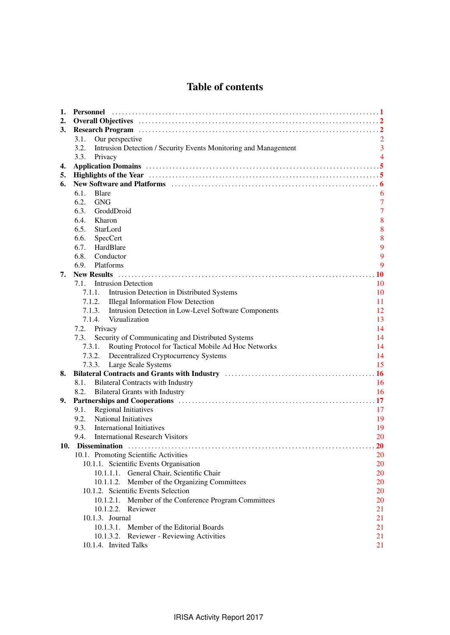## Table of contents

| 1.  | Personnel                                                                                                                                                                                                                      |                |
|-----|--------------------------------------------------------------------------------------------------------------------------------------------------------------------------------------------------------------------------------|----------------|
| 2.  |                                                                                                                                                                                                                                |                |
| 3.  | Research Program (a) and the contract of the contract of the contract of the contract of the contract of the contract of the contract of the contract of the contract of the contract of the contract of the contract of the c |                |
|     | 3.1.<br>Our perspective                                                                                                                                                                                                        | 2              |
|     | 3.2.<br>Intrusion Detection / Security Events Monitoring and Management                                                                                                                                                        | 3              |
|     | 3.3.<br>Privacy                                                                                                                                                                                                                | $\overline{4}$ |
| 4.  |                                                                                                                                                                                                                                |                |
| 5.  |                                                                                                                                                                                                                                |                |
| 6.  | New Software and Platforms (and the context of the context of the state of the state of the state of the state of the state of the state of the state of the state of the state of the state of the state of the state of the  |                |
|     | 6.1.<br><b>Blare</b>                                                                                                                                                                                                           | 6              |
|     | 6.2.<br><b>GNG</b>                                                                                                                                                                                                             | $\overline{7}$ |
|     | GroddDroid<br>6.3.                                                                                                                                                                                                             | $\overline{7}$ |
|     | 6.4.<br>Kharon                                                                                                                                                                                                                 | 8              |
|     | 6.5.<br>StarLord                                                                                                                                                                                                               | 8              |
|     | 6.6.<br>SpecCert                                                                                                                                                                                                               | 8              |
|     | 6.7.<br>HardBlare                                                                                                                                                                                                              | 9              |
|     | 6.8.<br>Conductor                                                                                                                                                                                                              | 9              |
|     | 6.9.<br>Platforms                                                                                                                                                                                                              | 9              |
| 7.  | <b>New Results</b>                                                                                                                                                                                                             | 10             |
|     | 7.1.<br><b>Intrusion Detection</b>                                                                                                                                                                                             | 10             |
|     | 7.1.1.<br>Intrusion Detection in Distributed Systems                                                                                                                                                                           | 10             |
|     | <b>Illegal Information Flow Detection</b><br>7.1.2.                                                                                                                                                                            | 11             |
|     | Intrusion Detection in Low-Level Software Components<br>7.1.3.                                                                                                                                                                 | 12             |
|     | 7.1.4.<br>Vizualization                                                                                                                                                                                                        | 13             |
|     | 7.2. Privacy                                                                                                                                                                                                                   | 14             |
|     | Security of Communicating and Distributed Systems<br>7.3.                                                                                                                                                                      | 14             |
|     | Routing Protocol for Tactical Mobile Ad Hoc Networks<br>7.3.1.                                                                                                                                                                 | 14             |
|     | 7.3.2. Decentralized Cryptocurrency Systems                                                                                                                                                                                    | 14             |
|     | <b>Large Scale Systems</b><br>7.3.3.                                                                                                                                                                                           | 15             |
| 8.  | Bilateral Contracts and Grants with Industry (and according to the control of the state of the state of the state of the state of the state of the state of the state of the state of the state of the state of the state of t | <b>16</b>      |
|     | 8.1.<br><b>Bilateral Contracts with Industry</b>                                                                                                                                                                               | 16             |
|     | 8.2.<br><b>Bilateral Grants with Industry</b>                                                                                                                                                                                  | 16             |
| 9.  | Partnerships and Cooperations (and according to the cooperations) and cooperations (and according to the cooperations)                                                                                                         | 17             |
|     | 9.1.<br><b>Regional Initiatives</b>                                                                                                                                                                                            | 17             |
|     | <b>National Initiatives</b><br>9.2.                                                                                                                                                                                            | 19             |
|     | <b>International Initiatives</b><br>9.3.                                                                                                                                                                                       | 19             |
|     | <b>International Research Visitors</b><br>9.4.                                                                                                                                                                                 | 20             |
| 10. |                                                                                                                                                                                                                                | 20             |
|     | 10.1. Promoting Scientific Activities                                                                                                                                                                                          | 20             |
|     | 10.1.1. Scientific Events Organisation                                                                                                                                                                                         | 20             |
|     | 10.1.1.1. General Chair, Scientific Chair                                                                                                                                                                                      | 20             |
|     | 10.1.1.2. Member of the Organizing Committees                                                                                                                                                                                  | 20             |
|     | 10.1.2. Scientific Events Selection                                                                                                                                                                                            | 20             |
|     | 10.1.2.1. Member of the Conference Program Committees                                                                                                                                                                          | 20             |
|     | 10.1.2.2. Reviewer                                                                                                                                                                                                             | 21             |
|     | 10.1.3. Journal                                                                                                                                                                                                                | 21             |
|     | 10.1.3.1. Member of the Editorial Boards                                                                                                                                                                                       | 21             |
|     | 10.1.3.2. Reviewer - Reviewing Activities                                                                                                                                                                                      | 21             |
|     | 10.1.4. Invited Talks                                                                                                                                                                                                          | 21             |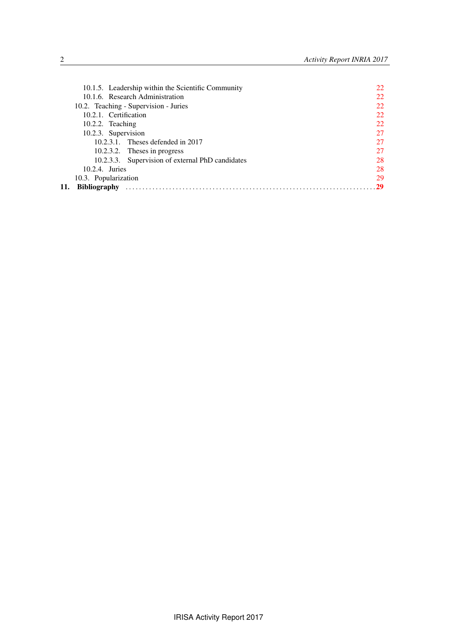| 10.1.5. Leadership within the Scientific Community | 22 |
|----------------------------------------------------|----|
| 10.1.6. Research Administration                    | 22 |
| 10.2. Teaching - Supervision - Juries              | 22 |
| 10.2.1. Certification                              | 22 |
| 10.2.2. Teaching                                   | 22 |
| 10.2.3. Supervision                                | 27 |
| $10.2.3.1$ . Theses defended in 2017               | 27 |
| 10.2.3.2. Theses in progress                       | 27 |
| 10.2.3.3. Supervision of external PhD candidates   | 28 |
| 10.2.4. Juries                                     | 28 |
| 10.3. Popularization                               | 29 |
| 11.<br><b>Bibliography</b>                         |    |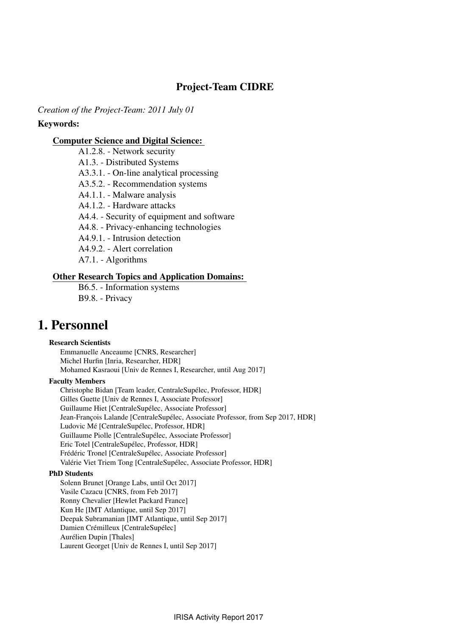## Project-Team CIDRE

*Creation of the Project-Team: 2011 July 01*

#### Keywords:

#### Computer Science and Digital Science:

A1.2.8. - Network security A1.3. - Distributed Systems A3.3.1. - On-line analytical processing A3.5.2. - Recommendation systems A4.1.1. - Malware analysis A4.1.2. - Hardware attacks A4.4. - Security of equipment and software A4.8. - Privacy-enhancing technologies A4.9.1. - Intrusion detection A4.9.2. - Alert correlation A7.1. - Algorithms

### Other Research Topics and Application Domains:

B6.5. - Information systems B9.8. - Privacy

## 1. Personnel

#### Research Scientists

Emmanuelle Anceaume [CNRS, Researcher] Michel Hurfin [Inria, Researcher, HDR] Mohamed Kasraoui [Univ de Rennes I, Researcher, until Aug 2017]

#### Faculty Members

Christophe Bidan [Team leader, CentraleSupélec, Professor, HDR] Gilles Guette [Univ de Rennes I, Associate Professor] Guillaume Hiet [CentraleSupélec, Associate Professor] Jean-François Lalande [CentraleSupélec, Associate Professor, from Sep 2017, HDR] Ludovic Mé [CentraleSupélec, Professor, HDR] Guillaume Piolle [CentraleSupélec, Associate Professor] Eric Totel [CentraleSupélec, Professor, HDR] Frédéric Tronel [CentraleSupélec, Associate Professor] Valérie Viet Triem Tong [CentraleSupélec, Associate Professor, HDR]

#### PhD Students

Solenn Brunet [Orange Labs, until Oct 2017] Vasile Cazacu [CNRS, from Feb 2017] Ronny Chevalier [Hewlet Packard France] Kun He [IMT Atlantique, until Sep 2017] Deepak Subramanian [IMT Atlantique, until Sep 2017] Damien Crémilleux [CentraleSupélec] Aurélien Dupin [Thales] Laurent Georget [Univ de Rennes I, until Sep 2017]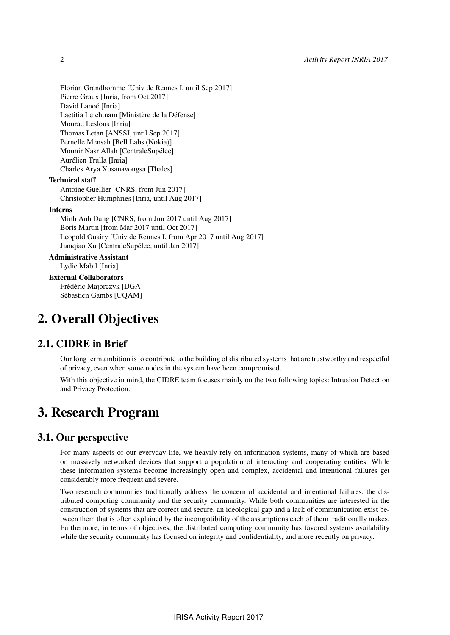Florian Grandhomme [Univ de Rennes I, until Sep 2017] Pierre Graux [Inria, from Oct 2017] David Lanoé [Inria] Laetitia Leichtnam [Ministère de la Défense] Mourad Leslous [Inria] Thomas Letan [ANSSI, until Sep 2017] Pernelle Mensah [Bell Labs (Nokia)] Mounir Nasr Allah [CentraleSupélec] Aurélien Trulla [Inria] Charles Arya Xosanavongsa [Thales]

Technical staff

Antoine Guellier [CNRS, from Jun 2017] Christopher Humphries [Inria, until Aug 2017]

#### Interns

Minh Anh Dang [CNRS, from Jun 2017 until Aug 2017] Boris Martin [from Mar 2017 until Oct 2017] Leopold Ouairy [Univ de Rennes I, from Apr 2017 until Aug 2017] Jianqiao Xu [CentraleSupélec, until Jan 2017]

### Administrative Assistant

Lydie Mabil [Inria]

#### External Collaborators

Frédéric Majorczyk [DGA] Sébastien Gambs [UQAM]

## 2. Overall Objectives

## 2.1. CIDRE in Brief

Our long term ambition is to contribute to the building of distributed systems that are trustworthy and respectful of privacy, even when some nodes in the system have been compromised.

With this objective in mind, the CIDRE team focuses mainly on the two following topics: Intrusion Detection and Privacy Protection.

## 3. Research Program

### 3.1. Our perspective

For many aspects of our everyday life, we heavily rely on information systems, many of which are based on massively networked devices that support a population of interacting and cooperating entities. While these information systems become increasingly open and complex, accidental and intentional failures get considerably more frequent and severe.

Two research communities traditionally address the concern of accidental and intentional failures: the distributed computing community and the security community. While both communities are interested in the construction of systems that are correct and secure, an ideological gap and a lack of communication exist between them that is often explained by the incompatibility of the assumptions each of them traditionally makes. Furthermore, in terms of objectives, the distributed computing community has favored systems availability while the security community has focused on integrity and confidentiality, and more recently on privacy.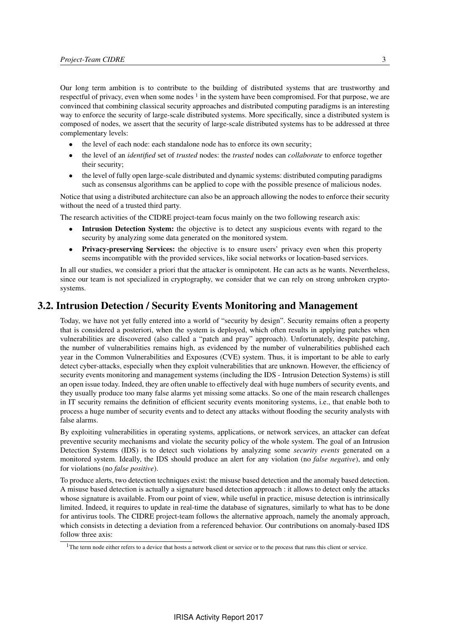Our long term ambition is to contribute to the building of distributed systems that are trustworthy and respectful of privacy, even when some nodes <sup>1</sup> in the system have been compromised. For that purpose, we are convinced that combining classical security approaches and distributed computing paradigms is an interesting way to enforce the security of large-scale distributed systems. More specifically, since a distributed system is composed of nodes, we assert that the security of large-scale distributed systems has to be addressed at three complementary levels:

- the level of each node: each standalone node has to enforce its own security;
- the level of an *identified* set of *trusted* nodes: the *trusted* nodes can *collaborate* to enforce together their security;
- the level of fully open large-scale distributed and dynamic systems: distributed computing paradigms such as consensus algorithms can be applied to cope with the possible presence of malicious nodes.

Notice that using a distributed architecture can also be an approach allowing the nodes to enforce their security without the need of a trusted third party.

The research activities of the CIDRE project-team focus mainly on the two following research axis:

- Intrusion Detection System: the objective is to detect any suspicious events with regard to the security by analyzing some data generated on the monitored system.
- Privacy-preserving Services: the objective is to ensure users' privacy even when this property seems incompatible with the provided services, like social networks or location-based services.

In all our studies, we consider a priori that the attacker is omnipotent. He can acts as he wants. Nevertheless, since our team is not specialized in cryptography, we consider that we can rely on strong unbroken cryptosystems.

### 3.2. Intrusion Detection / Security Events Monitoring and Management

Today, we have not yet fully entered into a world of "security by design". Security remains often a property that is considered a posteriori, when the system is deployed, which often results in applying patches when vulnerabilities are discovered (also called a "patch and pray" approach). Unfortunately, despite patching, the number of vulnerabilities remains high, as evidenced by the number of vulnerabilities published each year in the Common Vulnerabilities and Exposures (CVE) system. Thus, it is important to be able to early detect cyber-attacks, especially when they exploit vulnerabilities that are unknown. However, the efficiency of security events monitoring and management systems (including the IDS - Intrusion Detection Systems) is still an open issue today. Indeed, they are often unable to effectively deal with huge numbers of security events, and they usually produce too many false alarms yet missing some attacks. So one of the main research challenges in IT security remains the definition of efficient security events monitoring systems, i.e., that enable both to process a huge number of security events and to detect any attacks without flooding the security analysts with false alarms.

By exploiting vulnerabilities in operating systems, applications, or network services, an attacker can defeat preventive security mechanisms and violate the security policy of the whole system. The goal of an Intrusion Detection Systems (IDS) is to detect such violations by analyzing some *security events* generated on a monitored system. Ideally, the IDS should produce an alert for any violation (no *false negative*), and only for violations (no *false positive*).

To produce alerts, two detection techniques exist: the misuse based detection and the anomaly based detection. A misuse based detection is actually a signature based detection approach : it allows to detect only the attacks whose signature is available. From our point of view, while useful in practice, misuse detection is intrinsically limited. Indeed, it requires to update in real-time the database of signatures, similarly to what has to be done for antivirus tools. The CIDRE project-team follows the alternative approach, namely the anomaly approach, which consists in detecting a deviation from a referenced behavior. Our contributions on anomaly-based IDS follow three axis:

<sup>&</sup>lt;sup>1</sup>The term node either refers to a device that hosts a network client or service or to the process that runs this client or service.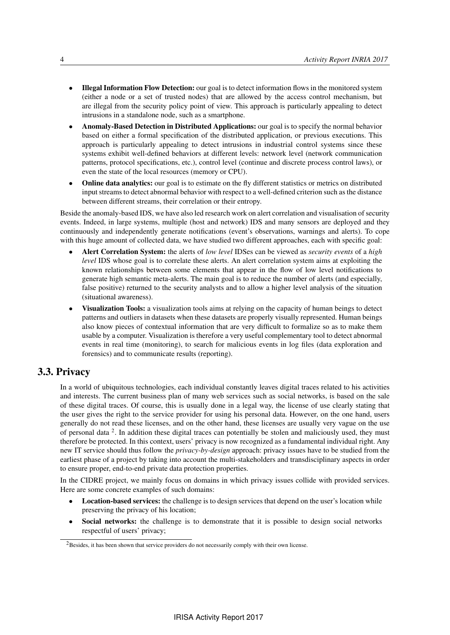- Illegal Information Flow Detection: our goal is to detect information flows in the monitored system (either a node or a set of trusted nodes) that are allowed by the access control mechanism, but are illegal from the security policy point of view. This approach is particularly appealing to detect intrusions in a standalone node, such as a smartphone.
- Anomaly-Based Detection in Distributed Applications: our goal is to specify the normal behavior based on either a formal specification of the distributed application, or previous executions. This approach is particularly appealing to detect intrusions in industrial control systems since these systems exhibit well-defined behaviors at different levels: network level (network communication patterns, protocol specifications, etc.), control level (continue and discrete process control laws), or even the state of the local resources (memory or CPU).
- Online data analytics: our goal is to estimate on the fly different statistics or metrics on distributed input streams to detect abnormal behavior with respect to a well-defined criterion such as the distance between different streams, their correlation or their entropy.

Beside the anomaly-based IDS, we have also led research work on alert correlation and visualisation of security events. Indeed, in large systems, multiple (host and network) IDS and many sensors are deployed and they continuously and independently generate notifications (event's observations, warnings and alerts). To cope with this huge amount of collected data, we have studied two different approaches, each with specific goal:

- Alert Correlation System: the alerts of *low level* IDSes can be viewed as *security events* of a *high level* IDS whose goal is to correlate these alerts. An alert correlation system aims at exploiting the known relationships between some elements that appear in the flow of low level notifications to generate high semantic meta-alerts. The main goal is to reduce the number of alerts (and especially, false positive) returned to the security analysts and to allow a higher level analysis of the situation (situational awareness).
- Visualization Tools: a visualization tools aims at relying on the capacity of human beings to detect patterns and outliers in datasets when these datasets are properly visually represented. Human beings also know pieces of contextual information that are very difficult to formalize so as to make them usable by a computer. Visualization is therefore a very useful complementary tool to detect abnormal events in real time (monitoring), to search for malicious events in log files (data exploration and forensics) and to communicate results (reporting).

## 3.3. Privacy

In a world of ubiquitous technologies, each individual constantly leaves digital traces related to his activities and interests. The current business plan of many web services such as social networks, is based on the sale of these digital traces. Of course, this is usually done in a legal way, the license of use clearly stating that the user gives the right to the service provider for using his personal data. However, on the one hand, users generally do not read these licenses, and on the other hand, these licenses are usually very vague on the use of personal data <sup>2</sup>. In addition these digital traces can potentially be stolen and maliciously used, they must therefore be protected. In this context, users' privacy is now recognized as a fundamental individual right. Any new IT service should thus follow the *privacy-by-design* approach: privacy issues have to be studied from the earliest phase of a project by taking into account the multi-stakeholders and transdisciplinary aspects in order to ensure proper, end-to-end private data protection properties.

In the CIDRE project, we mainly focus on domains in which privacy issues collide with provided services. Here are some concrete examples of such domains:

- Location-based services: the challenge is to design services that depend on the user's location while preserving the privacy of his location;
- Social networks: the challenge is to demonstrate that it is possible to design social networks respectful of users' privacy;

<sup>&</sup>lt;sup>2</sup>Besides, it has been shown that service providers do not necessarily comply with their own license.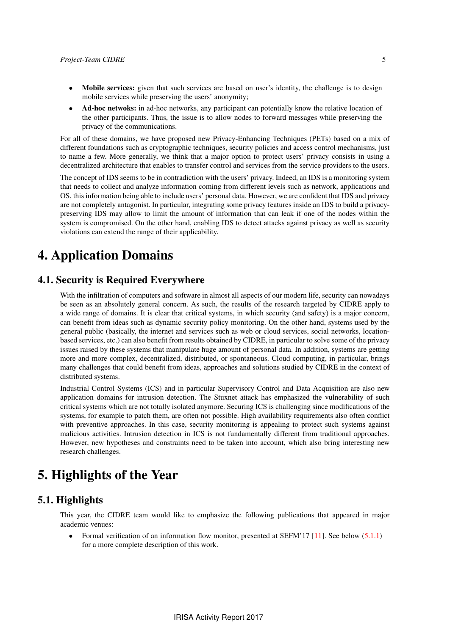- Mobile services: given that such services are based on user's identity, the challenge is to design mobile services while preserving the users' anonymity;
- Ad-hoc netwoks: in ad-hoc networks, any participant can potentially know the relative location of the other participants. Thus, the issue is to allow nodes to forward messages while preserving the privacy of the communications.

For all of these domains, we have proposed new Privacy-Enhancing Techniques (PETs) based on a mix of different foundations such as cryptographic techniques, security policies and access control mechanisms, just to name a few. More generally, we think that a major option to protect users' privacy consists in using a decentralized architecture that enables to transfer control and services from the service providers to the users.

The concept of IDS seems to be in contradiction with the users' privacy. Indeed, an IDS is a monitoring system that needs to collect and analyze information coming from different levels such as network, applications and OS, this information being able to include users' personal data. However, we are confident that IDS and privacy are not completely antagonist. In particular, integrating some privacy features inside an IDS to build a privacypreserving IDS may allow to limit the amount of information that can leak if one of the nodes within the system is compromised. On the other hand, enabling IDS to detect attacks against privacy as well as security violations can extend the range of their applicability.

## 4. Application Domains

## 4.1. Security is Required Everywhere

With the infiltration of computers and software in almost all aspects of our modern life, security can nowadays be seen as an absolutely general concern. As such, the results of the research targeted by CIDRE apply to a wide range of domains. It is clear that critical systems, in which security (and safety) is a major concern, can benefit from ideas such as dynamic security policy monitoring. On the other hand, systems used by the general public (basically, the internet and services such as web or cloud services, social networks, locationbased services, etc.) can also benefit from results obtained by CIDRE, in particular to solve some of the privacy issues raised by these systems that manipulate huge amount of personal data. In addition, systems are getting more and more complex, decentralized, distributed, or spontaneous. Cloud computing, in particular, brings many challenges that could benefit from ideas, approaches and solutions studied by CIDRE in the context of distributed systems.

Industrial Control Systems (ICS) and in particular Supervisory Control and Data Acquisition are also new application domains for intrusion detection. The Stuxnet attack has emphasized the vulnerability of such critical systems which are not totally isolated anymore. Securing ICS is challenging since modifications of the systems, for example to patch them, are often not possible. High availability requirements also often conflict with preventive approaches. In this case, security monitoring is appealing to protect such systems against malicious activities. Intrusion detection in ICS is not fundamentally different from traditional approaches. However, new hypotheses and constraints need to be taken into account, which also bring interesting new research challenges.

## 5. Highlights of the Year

## 5.1. Highlights

This year, the CIDRE team would like to emphasize the following publications that appeared in major academic venues:

• Formal verification of an information flow monitor, presented at SEFM'17 [11]. See below (5.1.1) for a more complete description of this work.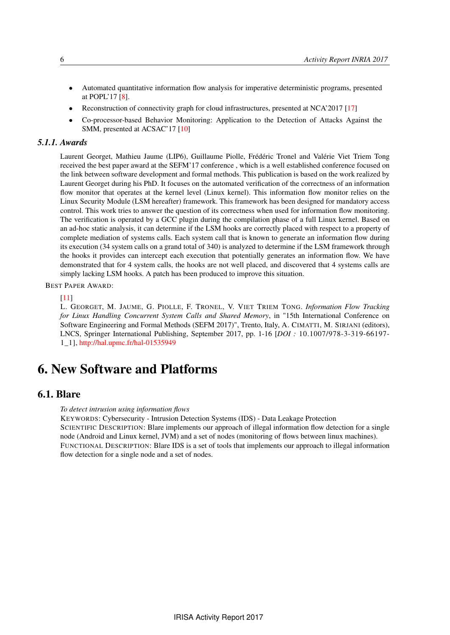- Automated quantitative information flow analysis for imperative deterministic programs, presented at POPL'17 [8].
- Reconstruction of connectivity graph for cloud infrastructures, presented at NCA'2017 [17]
- Co-processor-based Behavior Monitoring: Application to the Detection of Attacks Against the SMM, presented at ACSAC'17<sup>[10]</sup>

#### *5.1.1. Awards*

Laurent Georget, Mathieu Jaume (LIP6), Guillaume Piolle, Frédéric Tronel and Valérie Viet Triem Tong received the best paper award at the SEFM'17 conference , which is a well established conference focused on the link between software development and formal methods. This publication is based on the work realized by Laurent Georget during his PhD. It focuses on the automated verification of the correctness of an information flow monitor that operates at the kernel level (Linux kernel). This information flow monitor relies on the Linux Security Module (LSM hereafter) framework. This framework has been designed for mandatory access control. This work tries to answer the question of its correctness when used for information flow monitoring. The verification is operated by a GCC plugin during the compilation phase of a full Linux kernel. Based on an ad-hoc static analysis, it can determine if the LSM hooks are correctly placed with respect to a property of complete mediation of systems calls. Each system call that is known to generate an information flow during its execution (34 system calls on a grand total of 340) is analyzed to determine if the LSM framework through the hooks it provides can intercept each execution that potentially generates an information flow. We have demonstrated that for 4 system calls, the hooks are not well placed, and discovered that 4 systems calls are simply lacking LSM hooks. A patch has been produced to improve this situation.

BEST PAPER AWARD:

#### [11]

L. GEORGET, M. JAUME, G. PIOLLE, F. TRONEL, V. VIET TRIEM TONG. *Information Flow Tracking for Linux Handling Concurrent System Calls and Shared Memory*, in "15th International Conference on Software Engineering and Formal Methods (SEFM 2017)", Trento, Italy, A. CIMATTI, M. SIRJANI (editors), LNCS, Springer International Publishing, September 2017, pp. 1-16 [*DOI :* 10.1007/978-3-319-66197- 1\_1], http://hal.upmc.fr/hal-01535949

## 6. New Software and Platforms

## 6.1. Blare

*To detect intrusion using information flows*

KEYWORDS: Cybersecurity - Intrusion Detection Systems (IDS) - Data Leakage Protection SCIENTIFIC DESCRIPTION: Blare implements our approach of illegal information flow detection for a single node (Android and Linux kernel, JVM) and a set of nodes (monitoring of flows between linux machines). FUNCTIONAL DESCRIPTION: Blare IDS is a set of tools that implements our approach to illegal information flow detection for a single node and a set of nodes.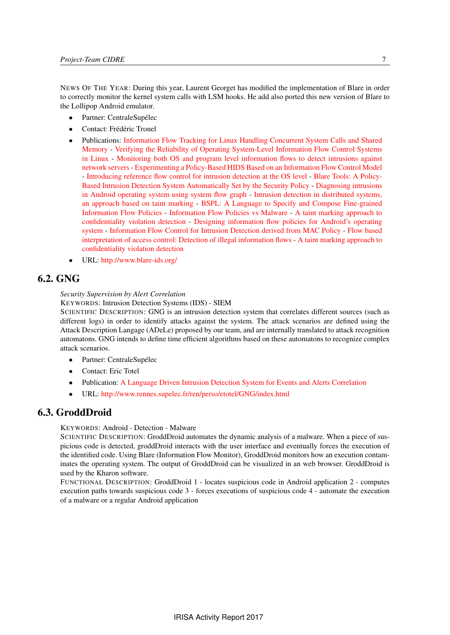NEWS OF THE YEAR: During this year, Laurent Georget has modified the implementation of Blare in order to correctly monitor the kernel system calls with LSM hooks. He add also ported this new version of Blare to the Lollipop Android emulator.

- Partner: CentraleSupélec
- Contact: Frédéric Tronel
- Publications: Information Flow Tracking for Linux Handling Concurrent System Calls and Shared Memory - Verifying the Reliability of Operating System-Level Information Flow Control Systems in Linux - Monitoring both OS and program level information flows to detect intrusions against network servers - Experimenting a Policy-Based HIDS Based on an Information Flow Control Model - Introducing reference flow control for intrusion detection at the OS level - Blare Tools: A Policy-Based Intrusion Detection System Automatically Set by the Security Policy - Diagnosing intrusions in Android operating system using system flow graph - Intrusion detection in distributed systems, an approach based on taint marking - BSPL: A Language to Specify and Compose Fine-grained Information Flow Policies - Information Flow Policies vs Malware - A taint marking approach to confidentiality violation detection - Designing information flow policies for Android's operating system - Information Flow Control for Intrusion Detection derived from MAC Policy - Flow based interpretation of access control: Detection of illegal information flows - A taint marking approach to confidentiality violation detection
- URL: http://www.blare-ids.org/

## 6.2. GNG

#### *Security Supervision by Alert Correlation*

KEYWORDS: Intrusion Detection Systems (IDS) - SIEM

SCIENTIFIC DESCRIPTION: GNG is an intrusion detection system that correlates different sources (such as different logs) in order to identify attacks against the system. The attack scenarios are defined using the Attack Description Langage (ADeLe) proposed by our team, and are internally translated to attack recognition automatons. GNG intends to define time efficient algorithms based on these automatons to recognize complex attack scenarios.

- Partner: CentraleSupélec
- Contact: Eric Totel
- Publication: A Language Driven Intrusion Detection System for Events and Alerts Correlation
- URL: http://www.rennes.supelec.fr/ren/perso/etotel/GNG/index.html

## 6.3. GroddDroid

KEYWORDS: Android - Detection - Malware

SCIENTIFIC DESCRIPTION: GroddDroid automates the dynamic analysis of a malware. When a piece of suspicious code is detected, groddDroid interacts with the user interface and eventually forces the execution of the identified code. Using Blare (Information Flow Monitor), GroddDroid monitors how an execution contaminates the operating system. The output of GroddDroid can be visualized in an web browser. GroddDroid is used by the Kharon software.

FUNCTIONAL DESCRIPTION: GroddDroid 1 - locates suspicious code in Android application 2 - computes execution paths towards suspicious code 3 - forces executions of suspicious code 4 - automate the execution of a malware or a regular Android application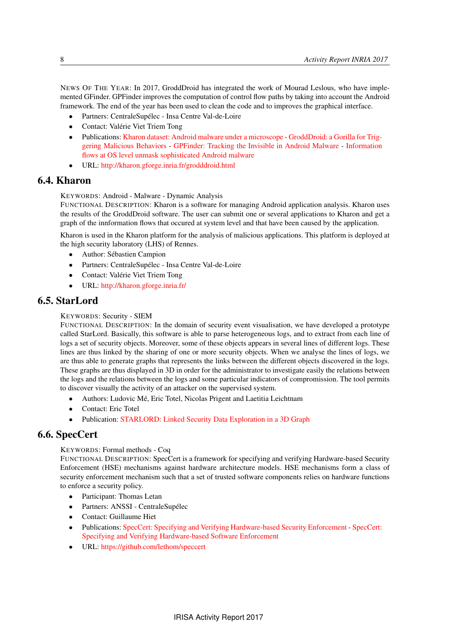NEWS OF THE YEAR: In 2017, GroddDroid has integrated the work of Mourad Leslous, who have implemented GFinder. GPFinder improves the computation of control flow paths by taking into account the Android framework. The end of the year has been used to clean the code and to improves the graphical interface.

- Partners: CentraleSupélec Insa Centre Val-de-Loire
- Contact: Valérie Viet Triem Tong
- Publications: Kharon dataset: Android malware under a microscope GroddDroid: a Gorilla for Triggering Malicious Behaviors - GPFinder: Tracking the Invisible in Android Malware - Information flows at OS level unmask sophisticated Android malware
- URL: http://kharon.gforge.inria.fr/grodddroid.html

### 6.4. Kharon

KEYWORDS: Android - Malware - Dynamic Analysis

FUNCTIONAL DESCRIPTION: Kharon is a software for managing Android application analysis. Kharon uses the results of the GroddDroid software. The user can submit one or several applications to Kharon and get a graph of the innformation flows that occured at system level and that have been caused by the application.

Kharon is used in the Kharon platform for the analysis of malicious applications. This platform is deployed at the high security laboratory (LHS) of Rennes.

- Author: Sébastien Campion
- Partners: CentraleSupélec Insa Centre Val-de-Loire
- Contact: Valérie Viet Triem Tong
- URL: http://kharon.gforge.inria.fr/

## 6.5. StarLord

KEYWORDS: Security - SIEM

FUNCTIONAL DESCRIPTION: In the domain of security event visualisation, we have developed a prototype called StarLord. Basically, this software is able to parse heterogeneous logs, and to extract from each line of logs a set of security objects. Moreover, some of these objects appears in several lines of different logs. These lines are thus linked by the sharing of one or more security objects. When we analyse the lines of logs, we are thus able to generate graphs that represents the links between the different objects discovered in the logs. These graphs are thus displayed in 3D in order for the administrator to investigate easily the relations between the logs and the relations between the logs and some particular indicators of compromission. The tool permits to discover visually the activity of an attacker on the supervised system.

- Authors: Ludovic Mé, Eric Totel, Nicolas Prigent and Laetitia Leichtnam
- Contact: Eric Totel
- Publication: STARLORD: Linked Security Data Exploration in a 3D Graph

## 6.6. SpecCert

#### KEYWORDS: Formal methods - Coq

FUNCTIONAL DESCRIPTION: SpecCert is a framework for specifying and verifying Hardware-based Security Enforcement (HSE) mechanisms against hardware architecture models. HSE mechanisms form a class of security enforcement mechanism such that a set of trusted software components relies on hardware functions to enforce a security policy.

- Participant: Thomas Letan
- Partners: ANSSI CentraleSupélec
- Contact: Guillaume Hiet
- Publications: SpecCert: Specifying and Verifying Hardware-based Security Enforcement SpecCert: Specifying and Verifying Hardware-based Software Enforcement
- URL: https://github.com/lethom/speccert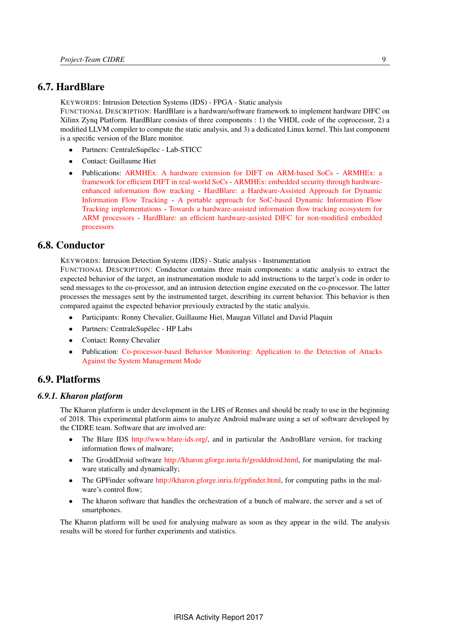### 6.7. HardBlare

KEYWORDS: Intrusion Detection Systems (IDS) - FPGA - Static analysis

FUNCTIONAL DESCRIPTION: HardBlare is a hardware/software framework to implement hardware DIFC on Xilinx Zynq Platform. HardBlare consists of three components : 1) the VHDL code of the coprocessor, 2) a modified LLVM compiler to compute the static analysis, and 3) a dedicated Linux kernel. This last component is a specific version of the Blare monitor.

- Partners: CentraleSupélec Lab-STICC
- Contact: Guillaume Hiet
- Publications: ARMHEx: A hardware extension for DIFT on ARM-based SoCs ARMHEx: a framework for efficient DIFT in real-world SoCs - ARMHEx: embedded security through hardwareenhanced information flow tracking - HardBlare: a Hardware-Assisted Approach for Dynamic Information Flow Tracking - A portable approach for SoC-based Dynamic Information Flow Tracking implementations - Towards a hardware-assisted information flow tracking ecosystem for ARM processors - HardBlare: an efficient hardware-assisted DIFC for non-modified embedded processors

## 6.8. Conductor

KEYWORDS: Intrusion Detection Systems (IDS) - Static analysis - Instrumentation

FUNCTIONAL DESCRIPTION: Conductor contains three main components: a static analysis to extract the expected behavior of the target, an instrumentation module to add instructions to the target's code in order to send messages to the co-processor, and an intrusion detection engine executed on the co-processor. The latter processes the messages sent by the instrumented target, describing its current behavior. This behavior is then compared against the expected behavior previously extracted by the static analysis.

- Participants: Ronny Chevalier, Guillaume Hiet, Maugan Villatel and David Plaquin
- Partners: CentraleSupélec HP Labs
- Contact: Ronny Chevalier
- Publication: Co-processor-based Behavior Monitoring: Application to the Detection of Attacks Against the System Management Mode

## 6.9. Platforms

#### *6.9.1. Kharon platform*

The Kharon platform is under development in the LHS of Rennes and should be ready to use in the beginning of 2018. This experimental platform aims to analyze Android malware using a set of software developed by the CIDRE team. Software that are involved are:

- The Blare IDS http://www.blare-ids.org/, and in particular the AndroBlare version, for tracking information flows of malware;
- The GroddDroid software http://kharon.gforge.inria.fr/grodddroid.html, for manipulating the malware statically and dynamically;
- The GPFinder software http://kharon.gforge.inria.fr/gpfinder.html, for computing paths in the malware's control flow;
- The kharon software that handles the orchestration of a bunch of malware, the server and a set of smartphones.

The Kharon platform will be used for analysing malware as soon as they appear in the wild. The analysis results will be stored for further experiments and statistics.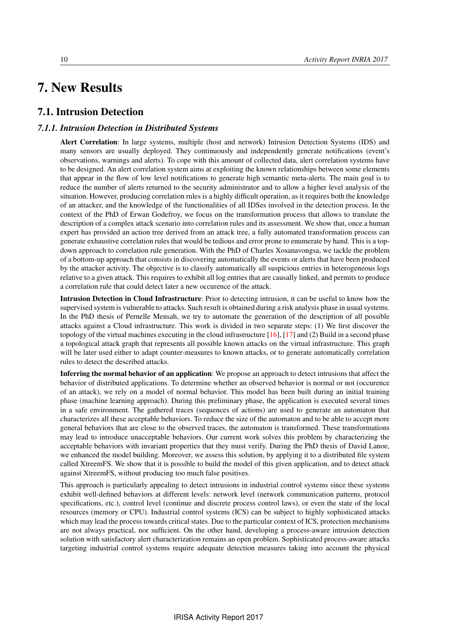## 7. New Results

## 7.1. Intrusion Detection

#### *7.1.1. Intrusion Detection in Distributed Systems*

Alert Correlation: In large systems, multiple (host and network) Intrusion Detection Systems (IDS) and many sensors are usually deployed. They continuously and independently generate notifications (event's observations, warnings and alerts). To cope with this amount of collected data, alert correlation systems have to be designed. An alert correlation system aims at exploiting the known relationships between some elements that appear in the flow of low level notifications to generate high semantic meta-alerts. The main goal is to reduce the number of alerts returned to the security administrator and to allow a higher level analysis of the situation. However, producing correlation rules is a highly difficult operation, as it requires both the knowledge of an attacker, and the knowledge of the functionalities of all IDSes involved in the detection process. In the context of the PhD of Erwan Godefroy, we focus on the transformation process that allows to translate the description of a complex attack scenario into correlation rules and its assessment. We show that, once a human expert has provided an action tree derived from an attack tree, a fully automated transformation process can generate exhaustive correlation rules that would be tedious and error prone to enumerate by hand. This is a topdown approach to correlation rule generation. With the PhD of Charles Xosanavongsa, we tackle the problem of a bottom-up approach that consists in discovering automatically the events or alerts that have been produced by the attacker activity. The objective is to classify automatically all suspicious entries in heterogeneous logs relative to a given attack. This requires to exhibit all log entries that are causally linked, and permits to produce a correlation rule that could detect later a new occurence of the attack.

Intrusion Detection in Cloud Infrastructure: Prior to detecting intrusion, it can be useful to know how the supervised system is vulnerable to attacks. Such result is obtained during a risk analysis phase in usual systems. In the PhD thesis of Pernelle Mensah, we try to automate the generation of the description of all possible attacks against a Cloud infrastructure. This work is divided in two separate steps: (1) We first discover the topology of the virtual machines executing in the cloud infrastructure  $[16]$ ,  $[17]$  and  $(2)$  Build in a second phase a topological attack graph that represents all possible known attacks on the virtual infrastructure. This graph will be later used either to adapt counter-measures to known attacks, or to generate automatically correlation rules to detect the described attacks.

Inferring the normal behavior of an application: We propose an approach to detect intrusions that affect the behavior of distributed applications. To determine whether an observed behavior is normal or not (occurence of an attack), we rely on a model of normal behavior. This model has been built during an initial training phase (machine learning approach). During this preliminary phase, the application is executed several times in a safe environment. The gathered traces (sequences of actions) are used to generate an automaton that characterizes all these acceptable behaviors. To reduce the size of the automaton and to be able to accept more general behaviors that are close to the observed traces, the automaton is transformed. These transformations may lead to introduce unacceptable behaviors. Our current work solves this problem by characterizing the acceptable behaviors with invariant properties that they must verify. During the PhD thesis of David Lanoe, we enhanced the model building. Moreover, we assess this solution, by applying it to a distributed file system called XtreemFS. We show that it is possible to build the model of this given application, and to detect attack against XtreemFS, without producing too much false positives.

This approach is particularly appealing to detect intrusions in industrial control systems since these systems exhibit well-defined behaviors at different levels: network level (network communication patterns, protocol specifications, etc.), control level (continue and discrete process control laws), or even the state of the local resources (memory or CPU). Industrial control systems (ICS) can be subject to highly sophisticated attacks which may lead the process towards critical states. Due to the particular context of ICS, protection mechanisms are not always practical, nor sufficient. On the other hand, developing a process-aware intrusion detection solution with satisfactory alert characterization remains an open problem. Sophisticated process-aware attacks targeting industrial control systems require adequate detection measures taking into account the physical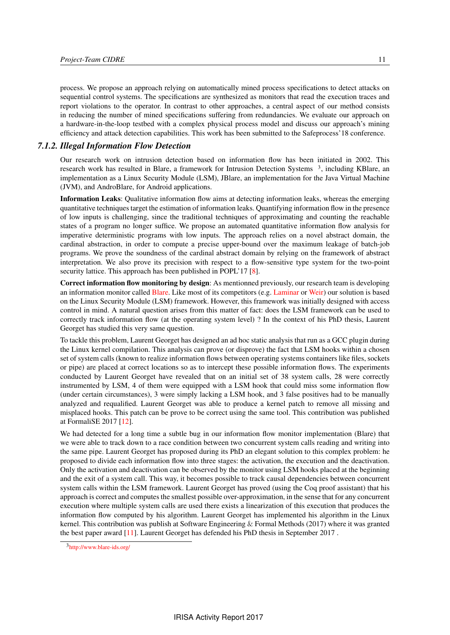process. We propose an approach relying on automatically mined process specifications to detect attacks on sequential control systems. The specifications are synthesized as monitors that read the execution traces and report violations to the operator. In contrast to other approaches, a central aspect of our method consists in reducing the number of mined specifications suffering from redundancies. We evaluate our approach on a hardware-in-the-loop testbed with a complex physical process model and discuss our approach's mining efficiency and attack detection capabilities. This work has been submitted to the Safeprocess'18 conference.

#### *7.1.2. Illegal Information Flow Detection*

Our research work on intrusion detection based on information flow has been initiated in 2002. This research work has resulted in Blare, a framework for Intrusion Detection Systems <sup>3</sup>, including KBlare, an implementation as a Linux Security Module (LSM), JBlare, an implementation for the Java Virtual Machine (JVM), and AndroBlare, for Android applications.

Information Leaks: Qualitative information flow aims at detecting information leaks, whereas the emerging quantitative techniques target the estimation of information leaks. Quantifying information flow in the presence of low inputs is challenging, since the traditional techniques of approximating and counting the reachable states of a program no longer suffice. We propose an automated quantitative information flow analysis for imperative deterministic programs with low inputs. The approach relies on a novel abstract domain, the cardinal abstraction, in order to compute a precise upper-bound over the maximum leakage of batch-job programs. We prove the soundness of the cardinal abstract domain by relying on the framework of abstract interpretation. We also prove its precision with respect to a flow-sensitive type system for the two-point security lattice. This approach has been published in POPL'17 [8].

Correct information flow monitoring by design: As mentionned previously, our research team is developing an information monitor called Blare. Like most of its competitors (e.g. Laminar or Weir) our solution is based on the Linux Security Module (LSM) framework. However, this framework was initially designed with access control in mind. A natural question arises from this matter of fact: does the LSM framework can be used to correctly track information flow (at the operating system level) ? In the context of his PhD thesis, Laurent Georget has studied this very same question.

To tackle this problem, Laurent Georget has designed an ad hoc static analysis that run as a GCC plugin during the Linux kernel compilation. This analysis can prove (or disprove) the fact that LSM hooks within a chosen set of system calls (known to realize information flows between operating systems containers like files, sockets or pipe) are placed at correct locations so as to intercept these possible information flows. The experiments conducted by Laurent Georget have revealed that on an initial set of 38 system calls, 28 were correctly instrumented by LSM, 4 of them were equipped with a LSM hook that could miss some information flow (under certain circumstances), 3 were simply lacking a LSM hook, and 3 false positives had to be manually analyzed and requalified. Laurent Georget was able to produce a kernel patch to remove all missing and misplaced hooks. This patch can be prove to be correct using the same tool. This contribution was published at FormaliSE 2017 [12].

We had detected for a long time a subtle bug in our information flow monitor implementation (Blare) that we were able to track down to a race condition between two concurrent system calls reading and writing into the same pipe. Laurent Georget has proposed during its PhD an elegant solution to this complex problem: he proposed to divide each information flow into three stages: the activation, the execution and the deactivation. Only the activation and deactivation can be observed by the monitor using LSM hooks placed at the beginning and the exit of a system call. This way, it becomes possible to track causal dependencies between concurrent system calls within the LSM framework. Laurent Georget has proved (using the Coq proof assistant) that his approach is correct and computes the smallest possible over-approximation, in the sense that for any concurrent execution where multiple system calls are used there exists a linearization of this execution that produces the information flow computed by his algorithm. Laurent Georget has implemented his algorithm in the Linux kernel. This contribution was publish at Software Engineering & Formal Methods (2017) where it was granted the best paper award [11]. Laurent Georget has defended his PhD thesis in September 2017 .

<sup>3</sup> http://www.blare-ids.org/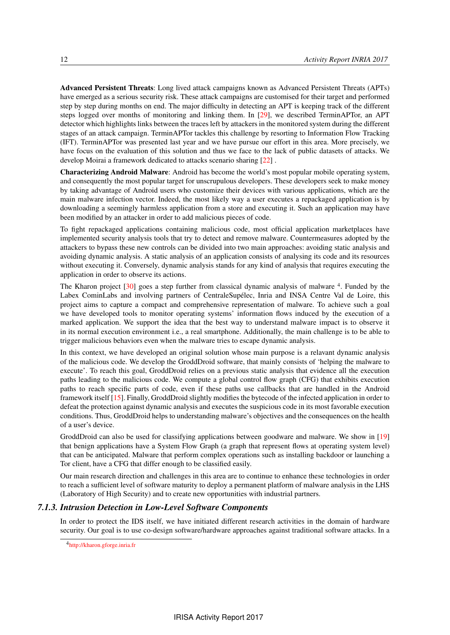Advanced Persistent Threats: Long lived attack campaigns known as Advanced Persistent Threats (APTs) have emerged as a serious security risk. These attack campaigns are customised for their target and performed step by step during months on end. The major difficulty in detecting an APT is keeping track of the different steps logged over months of monitoring and linking them. In [29], we described TerminAPTor, an APT detector which highlights links between the traces left by attackers in the monitored system during the different stages of an attack campaign. TerminAPTor tackles this challenge by resorting to Information Flow Tracking (IFT). TerminAPTor was presented last year and we have pursue our effort in this area. More precisely, we have focus on the evaluation of this solution and thus we face to the lack of public datasets of attacks. We develop Moirai a framework dedicated to attacks scenario sharing [22] .

Characterizing Android Malware: Android has become the world's most popular mobile operating system, and consequently the most popular target for unscrupulous developers. These developers seek to make money by taking advantage of Android users who customize their devices with various applications, which are the main malware infection vector. Indeed, the most likely way a user executes a repackaged application is by downloading a seemingly harmless application from a store and executing it. Such an application may have been modified by an attacker in order to add malicious pieces of code.

To fight repackaged applications containing malicious code, most official application marketplaces have implemented security analysis tools that try to detect and remove malware. Countermeasures adopted by the attackers to bypass these new controls can be divided into two main approaches: avoiding static analysis and avoiding dynamic analysis. A static analysis of an application consists of analysing its code and its resources without executing it. Conversely, dynamic analysis stands for any kind of analysis that requires executing the application in order to observe its actions.

The Kharon project [30] goes a step further from classical dynamic analysis of malware 4. Funded by the Labex CominLabs and involving partners of CentraleSupélec, Inria and INSA Centre Val de Loire, this project aims to capture a compact and comprehensive representation of malware. To achieve such a goal we have developed tools to monitor operating systems' information flows induced by the execution of a marked application. We support the idea that the best way to understand malware impact is to observe it in its normal execution environment i.e., a real smartphone. Additionally, the main challenge is to be able to trigger malicious behaviors even when the malware tries to escape dynamic analysis.

In this context, we have developed an original solution whose main purpose is a relavant dynamic analysis of the malicious code. We develop the GroddDroid software, that mainly consists of 'helping the malware to execute'. To reach this goal, GroddDroid relies on a previous static analysis that evidence all the execution paths leading to the malicious code. We compute a global control flow graph (CFG) that exhibits execution paths to reach specific parts of code, even if these paths use callbacks that are handled in the Android framework itself [15]. Finally, GroddDroid slightly modifies the bytecode of the infected application in order to defeat the protection against dynamic analysis and executes the suspicious code in its most favorable execution conditions. Thus, GroddDroid helps to understanding malware's objectives and the consequences on the health of a user's device.

GroddDroid can also be used for classifying applications between goodware and malware. We show in [19] that benign applications have a System Flow Graph (a graph that represent flows at operating system level) that can be anticipated. Malware that perform complex operations such as installing backdoor or launching a Tor client, have a CFG that differ enough to be classified easily.

Our main research direction and challenges in this area are to continue to enhance these technologies in order to reach a sufficient level of software maturity to deploy a permanent platform of malware analysis in the LHS (Laboratory of High Security) and to create new opportunities with industrial partners.

#### *7.1.3. Intrusion Detection in Low-Level Software Components*

In order to protect the IDS itself, we have initiated different research activities in the domain of hardware security. Our goal is to use co-design software/hardware approaches against traditional software attacks. In a

<sup>4</sup> http://kharon.gforge.inria.fr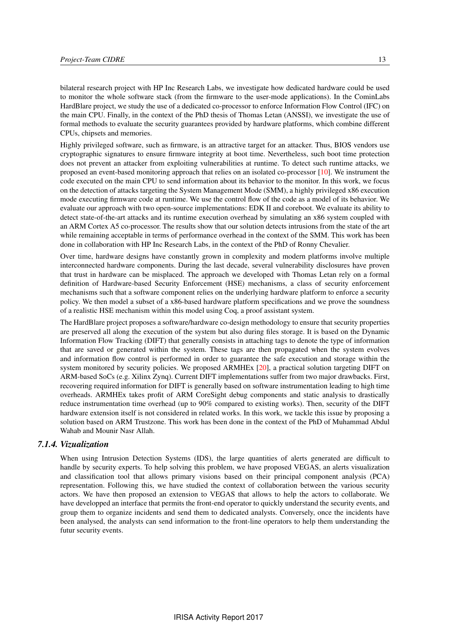bilateral research project with HP Inc Research Labs, we investigate how dedicated hardware could be used to monitor the whole software stack (from the firmware to the user-mode applications). In the CominLabs HardBlare project, we study the use of a dedicated co-processor to enforce Information Flow Control (IFC) on the main CPU. Finally, in the context of the PhD thesis of Thomas Letan (ANSSI), we investigate the use of formal methods to evaluate the security guarantees provided by hardware platforms, which combine different CPUs, chipsets and memories.

Highly privileged software, such as firmware, is an attractive target for an attacker. Thus, BIOS vendors use cryptographic signatures to ensure firmware integrity at boot time. Nevertheless, such boot time protection does not prevent an attacker from exploiting vulnerabilities at runtime. To detect such runtime attacks, we proposed an event-based monitoring approach that relies on an isolated co-processor [10]. We instrument the code executed on the main CPU to send information about its behavior to the monitor. In this work, we focus on the detection of attacks targeting the System Management Mode (SMM), a highly privileged x86 execution mode executing firmware code at runtime. We use the control flow of the code as a model of its behavior. We evaluate our approach with two open-source implementations: EDK II and coreboot. We evaluate its ability to detect state-of-the-art attacks and its runtime execution overhead by simulating an x86 system coupled with an ARM Cortex A5 co-processor. The results show that our solution detects intrusions from the state of the art while remaining acceptable in terms of performance overhead in the context of the SMM. This work has been done in collaboration with HP Inc Research Labs, in the context of the PhD of Ronny Chevalier.

Over time, hardware designs have constantly grown in complexity and modern platforms involve multiple interconnected hardware components. During the last decade, several vulnerability disclosures have proven that trust in hardware can be misplaced. The approach we developed with Thomas Letan rely on a formal definition of Hardware-based Security Enforcement (HSE) mechanisms, a class of security enforcement mechanisms such that a software component relies on the underlying hardware platform to enforce a security policy. We then model a subset of a x86-based hardware platform specifications and we prove the soundness of a realistic HSE mechanism within this model using Coq, a proof assistant system.

The HardBlare project proposes a software/hardware co-design methodology to ensure that security properties are preserved all along the execution of the system but also during files storage. It is based on the Dynamic Information Flow Tracking (DIFT) that generally consists in attaching tags to denote the type of information that are saved or generated within the system. These tags are then propagated when the system evolves and information flow control is performed in order to guarantee the safe execution and storage within the system monitored by security policies. We proposed ARMHEx [20], a practical solution targeting DIFT on ARM-based SoCs (e.g. Xilinx Zynq). Current DIFT implementations suffer from two major drawbacks. First, recovering required information for DIFT is generally based on software instrumentation leading to high time overheads. ARMHEx takes profit of ARM CoreSight debug components and static analysis to drastically reduce instrumentation time overhead (up to 90% compared to existing works). Then, security of the DIFT hardware extension itself is not considered in related works. In this work, we tackle this issue by proposing a solution based on ARM Trustzone. This work has been done in the context of the PhD of Muhammad Abdul Wahab and Mounir Nasr Allah.

### *7.1.4. Vizualization*

When using Intrusion Detection Systems (IDS), the large quantities of alerts generated are difficult to handle by security experts. To help solving this problem, we have proposed VEGAS, an alerts visualization and classification tool that allows primary visions based on their principal component analysis (PCA) representation. Following this, we have studied the context of collaboration between the various security actors. We have then proposed an extension to VEGAS that allows to help the actors to collaborate. We have developped an interface that permits the front-end operator to quickly understand the security events, and group them to organize incidents and send them to dedicated analysts. Conversely, once the incidents have been analysed, the analysts can send information to the front-line operators to help them understanding the futur security events.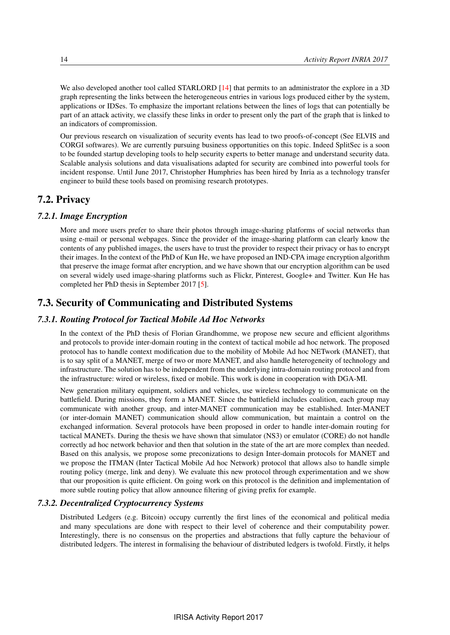We also developed another tool called STARLORD [14] that permits to an administrator the explore in a 3D graph representing the links between the heterogeneous entries in various logs produced either by the system, applications or IDSes. To emphasize the important relations between the lines of logs that can potentially be part of an attack activity, we classify these links in order to present only the part of the graph that is linked to an indicators of compromission.

Our previous research on visualization of security events has lead to two proofs-of-concept (See ELVIS and CORGI softwares). We are currently pursuing business opportunities on this topic. Indeed SplitSec is a soon to be founded startup developing tools to help security experts to better manage and understand security data. Scalable analysis solutions and data visualisations adapted for security are combined into powerful tools for incident response. Until June 2017, Christopher Humphries has been hired by Inria as a technology transfer engineer to build these tools based on promising research prototypes.

## 7.2. Privacy

### *7.2.1. Image Encryption*

More and more users prefer to share their photos through image-sharing platforms of social networks than using e-mail or personal webpages. Since the provider of the image-sharing platform can clearly know the contents of any published images, the users have to trust the provider to respect their privacy or has to encrypt their images. In the context of the PhD of Kun He, we have proposed an IND-CPA image encryption algorithm that preserve the image format after encryption, and we have shown that our encryption algorithm can be used on several widely used image-sharing platforms such as Flickr, Pinterest, Google+ and Twitter. Kun He has completed her PhD thesis in September 2017 [5].

## 7.3. Security of Communicating and Distributed Systems

#### *7.3.1. Routing Protocol for Tactical Mobile Ad Hoc Networks*

In the context of the PhD thesis of Florian Grandhomme, we propose new secure and efficient algorithms and protocols to provide inter-domain routing in the context of tactical mobile ad hoc network. The proposed protocol has to handle context modification due to the mobility of Mobile Ad hoc NETwork (MANET), that is to say split of a MANET, merge of two or more MANET, and also handle heterogeneity of technology and infrastructure. The solution has to be independent from the underlying intra-domain routing protocol and from the infrastructure: wired or wireless, fixed or mobile. This work is done in cooperation with DGA-MI.

New generation military equipment, soldiers and vehicles, use wireless technology to communicate on the battlefield. During missions, they form a MANET. Since the battlefield includes coalition, each group may communicate with another group, and inter-MANET communication may be established. Inter-MANET (or inter-domain MANET) communication should allow communication, but maintain a control on the exchanged information. Several protocols have been proposed in order to handle inter-domain routing for tactical MANETs. During the thesis we have shown that simulator (NS3) or emulator (CORE) do not handle correctly ad hoc network behavior and then that solution in the state of the art are more complex than needed. Based on this analysis, we propose some preconizations to design Inter-domain protocols for MANET and we propose the ITMAN (Inter Tactical Mobile Ad hoc Network) protocol that allows also to handle simple routing policy (merge, link and deny). We evaluate this new protocol through experimentation and we show that our proposition is quite efficient. On going work on this protocol is the definition and implementation of more subtle routing policy that allow announce filtering of giving prefix for example.

#### *7.3.2. Decentralized Cryptocurrency Systems*

Distributed Ledgers (e.g. Bitcoin) occupy currently the first lines of the economical and political media and many speculations are done with respect to their level of coherence and their computability power. Interestingly, there is no consensus on the properties and abstractions that fully capture the behaviour of distributed ledgers. The interest in formalising the behaviour of distributed ledgers is twofold. Firstly, it helps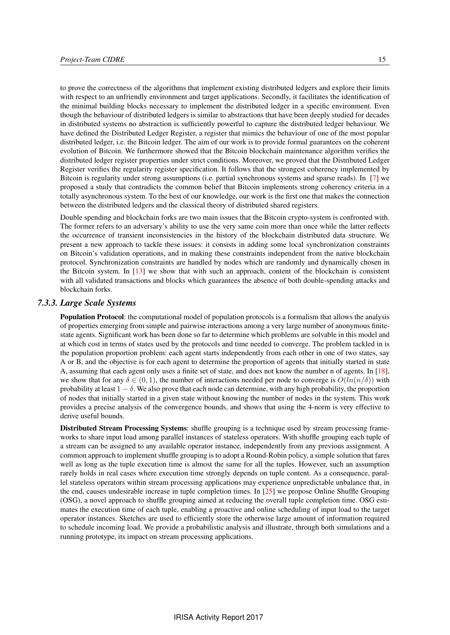to prove the correctness of the algorithms that implement existing distributed ledgers and explore their limits with respect to an unfriendly environment and target applications. Secondly, it facilitates the identification of the minimal building blocks necessary to implement the distributed ledger in a specific environment. Even though the behaviour of distributed ledgers is similar to abstractions that have been deeply studied for decades in distributed systems no abstraction is sufficiently powerful to capture the distributed ledger behaviour. We have defined the Distributed Ledger Register, a register that mimics the behaviour of one of the most popular distributed ledger, i.e. the Bitcoin ledger. The aim of our work is to provide formal guarantees on the coherent evolution of Bitcoin. We furthermore showed that the Bitcoin blockchain maintenance algorithm verifies the distributed ledger register properties under strict conditions. Moreover, we proved that the Distributed Ledger Register verifies the regularity register specification. It follows that the strongest coherency implemented by Bitcoin is regularity under strong assumptions (i.e. partial synchronous systems and sparse reads). In [7] we proposed a study that contradicts the common belief that Bitcoin implements strong coherency criteria in a totally asynchronous system. To the best of our knowledge, our work is the first one that makes the connection between the distributed ledgers and the classical theory of distributed shared registers.

Double spending and blockchain forks are two main issues that the Bitcoin crypto-system is confronted with. The former refers to an adversary's ability to use the very same coin more than once while the latter reflects the occurrence of transient inconsistencies in the history of the blockchain distributed data structure. We present a new approach to tackle these issues: it consists in adding some local synchronization constraints on Bitcoin's validation operations, and in making these constraints independent from the native blockchain protocol. Synchronization constraints are handled by nodes which are randomly and dynamically chosen in the Bitcoin system. In [13] we show that with such an approach, content of the blockchain is consistent with all validated transactions and blocks which guarantees the absence of both double-spending attacks and blockchain forks.

#### *7.3.3. Large Scale Systems*

Population Protocol: the computational model of population protocols is a formalism that allows the analysis of properties emerging from simple and pairwise interactions among a very large number of anonymous finitestate agents. Significant work has been done so far to determine which problems are solvable in this model and at which cost in terms of states used by the protocols and time needed to converge. The problem tackled in is the population proportion problem: each agent starts independently from each other in one of two states, say A or B, and the objective is for each agent to determine the proportion of agents that initially started in state A, assuming that each agent only uses a finite set of state, and does not know the number n of agents. In [18], we show that for any  $\delta \in (0,1)$ , the number of interactions needed per node to converge is  $O(ln(n/\delta))$  with probability at least  $1 - \delta$ . We also prove that each node can determine, with any high probability, the proportion of nodes that initially started in a given state without knowing the number of nodes in the system. This work provides a precise analysis of the convergence bounds, and shows that using the 4-norm is very effective to derive useful bounds.

Distributed Stream Processing Systems: shuffle grouping is a technique used by stream processing frameworks to share input load among parallel instances of stateless operators. With shuffle grouping each tuple of a stream can be assigned to any available operator instance, independently from any previous assignment. A common approach to implement shuffle grouping is to adopt a Round-Robin policy, a simple solution that fares well as long as the tuple execution time is almost the same for all the tuples. However, such an assumption rarely holds in real cases where execution time strongly depends on tuple content. As a consequence, parallel stateless operators within stream processing applications may experience unpredictable unbalance that, in the end, causes undesirable increase in tuple completion times. In [25] we propose Online Shuffle Grouping (OSG), a novel approach to shuffle grouping aimed at reducing the overall tuple completion time. OSG estimates the execution time of each tuple, enabling a proactive and online scheduling of input load to the target operator instances. Sketches are used to efficiently store the otherwise large amount of information required to schedule incoming load. We provide a probabilistic analysis and illustrate, through both simulations and a running prototype, its impact on stream processing applications.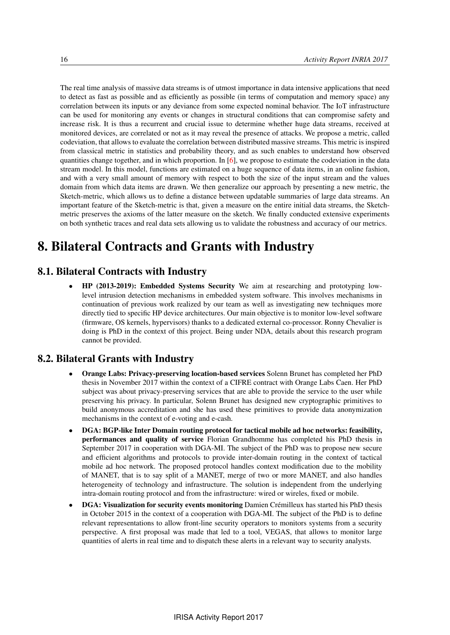The real time analysis of massive data streams is of utmost importance in data intensive applications that need to detect as fast as possible and as efficiently as possible (in terms of computation and memory space) any correlation between its inputs or any deviance from some expected nominal behavior. The IoT infrastructure can be used for monitoring any events or changes in structural conditions that can compromise safety and increase risk. It is thus a recurrent and crucial issue to determine whether huge data streams, received at monitored devices, are correlated or not as it may reveal the presence of attacks. We propose a metric, called codeviation, that allows to evaluate the correlation between distributed massive streams. This metric is inspired from classical metric in statistics and probability theory, and as such enables to understand how observed quantities change together, and in which proportion. In  $[6]$ , we propose to estimate the codeviation in the data stream model. In this model, functions are estimated on a huge sequence of data items, in an online fashion, and with a very small amount of memory with respect to both the size of the input stream and the values domain from which data items are drawn. We then generalize our approach by presenting a new metric, the Sketch-metric, which allows us to define a distance between updatable summaries of large data streams. An important feature of the Sketch-metric is that, given a measure on the entire initial data streams, the Sketchmetric preserves the axioms of the latter measure on the sketch. We finally conducted extensive experiments on both synthetic traces and real data sets allowing us to validate the robustness and accuracy of our metrics.

## 8. Bilateral Contracts and Grants with Industry

### 8.1. Bilateral Contracts with Industry

• HP (2013-2019): Embedded Systems Security We aim at researching and prototyping lowlevel intrusion detection mechanisms in embedded system software. This involves mechanisms in continuation of previous work realized by our team as well as investigating new techniques more directly tied to specific HP device architectures. Our main objective is to monitor low-level software (firmware, OS kernels, hypervisors) thanks to a dedicated external co-processor. Ronny Chevalier is doing is PhD in the context of this project. Being under NDA, details about this research program cannot be provided.

### 8.2. Bilateral Grants with Industry

- Orange Labs: Privacy-preserving location-based services Solenn Brunet has completed her PhD thesis in November 2017 within the context of a CIFRE contract with Orange Labs Caen. Her PhD subject was about privacy-preserving services that are able to provide the service to the user while preserving his privacy. In particular, Solenn Brunet has designed new cryptographic primitives to build anonymous accreditation and she has used these primitives to provide data anonymization mechanisms in the context of e-voting and e-cash.
- DGA: BGP-like Inter Domain routing protocol for tactical mobile ad hoc networks: feasibility, performances and quality of service Florian Grandhomme has completed his PhD thesis in September 2017 in cooperation with DGA-MI. The subject of the PhD was to propose new secure and efficient algorithms and protocols to provide inter-domain routing in the context of tactical mobile ad hoc network. The proposed protocol handles context modification due to the mobility of MANET, that is to say split of a MANET, merge of two or more MANET, and also handles heterogeneity of technology and infrastructure. The solution is independent from the underlying intra-domain routing protocol and from the infrastructure: wired or wireles, fixed or mobile.
- DGA: Visualization for security events monitoring Damien Crémilleux has started his PhD thesis in October 2015 in the context of a cooperation with DGA-MI. The subject of the PhD is to define relevant representations to allow front-line security operators to monitors systems from a security perspective. A first proposal was made that led to a tool, VEGAS, that allows to monitor large quantities of alerts in real time and to dispatch these alerts in a relevant way to security analysts.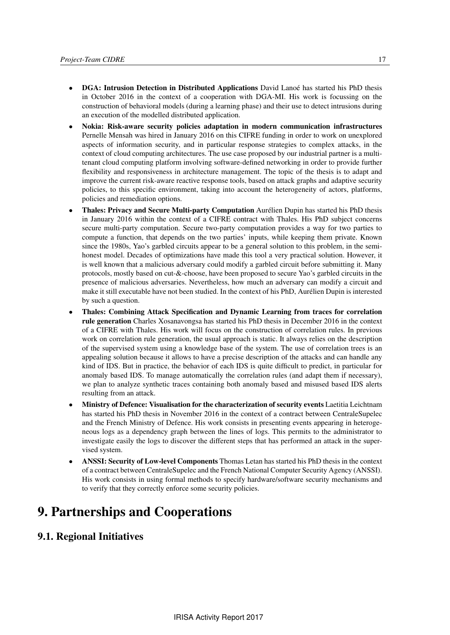- DGA: Intrusion Detection in Distributed Applications David Lanoé has started his PhD thesis in October 2016 in the context of a cooperation with DGA-MI. His work is focussing on the construction of behavioral models (during a learning phase) and their use to detect intrusions during an execution of the modelled distributed application.
- Nokia: Risk-aware security policies adaptation in modern communication infrastructures Pernelle Mensah was hired in January 2016 on this CIFRE funding in order to work on unexplored aspects of information security, and in particular response strategies to complex attacks, in the context of cloud computing architectures. The use case proposed by our industrial partner is a multitenant cloud computing platform involving software-defined networking in order to provide further flexibility and responsiveness in architecture management. The topic of the thesis is to adapt and improve the current risk-aware reactive response tools, based on attack graphs and adaptive security policies, to this specific environment, taking into account the heterogeneity of actors, platforms, policies and remediation options.
- Thales: Privacy and Secure Multi-party Computation Aurélien Dupin has started his PhD thesis in January 2016 within the context of a CIFRE contract with Thales. His PhD subject concerns secure multi-party computation. Secure two-party computation provides a way for two parties to compute a function, that depends on the two parties' inputs, while keeping them private. Known since the 1980s, Yao's garbled circuits appear to be a general solution to this problem, in the semihonest model. Decades of optimizations have made this tool a very practical solution. However, it is well known that a malicious adversary could modify a garbled circuit before submitting it. Many protocols, mostly based on cut-&-choose, have been proposed to secure Yao's garbled circuits in the presence of malicious adversaries. Nevertheless, how much an adversary can modify a circuit and make it still executable have not been studied. In the context of his PhD, Aurélien Dupin is interested by such a question.
- Thales: Combining Attack Specification and Dynamic Learning from traces for correlation rule generation Charles Xosanavongsa has started his PhD thesis in December 2016 in the context of a CIFRE with Thales. His work will focus on the construction of correlation rules. In previous work on correlation rule generation, the usual approach is static. It always relies on the description of the supervised system using a knowledge base of the system. The use of correlation trees is an appealing solution because it allows to have a precise description of the attacks and can handle any kind of IDS. But in practice, the behavior of each IDS is quite difficult to predict, in particular for anomaly based IDS. To manage automatically the correlation rules (and adapt them if necessary), we plan to analyze synthetic traces containing both anomaly based and misused based IDS alerts resulting from an attack.
- Ministry of Defence: Visualisation for the characterization of security events Laetitia Leichtnam has started his PhD thesis in November 2016 in the context of a contract between CentraleSupelec and the French Ministry of Defence. His work consists in presenting events appearing in heterogeneous logs as a dependency graph between the lines of logs. This permits to the administrator to investigate easily the logs to discover the different steps that has performed an attack in the supervised system.
- ANSSI: Security of Low-level Components Thomas Letan has started his PhD thesis in the context of a contract between CentraleSupelec and the French National Computer Security Agency (ANSSI). His work consists in using formal methods to specify hardware/software security mechanisms and to verify that they correctly enforce some security policies.

## 9. Partnerships and Cooperations

## 9.1. Regional Initiatives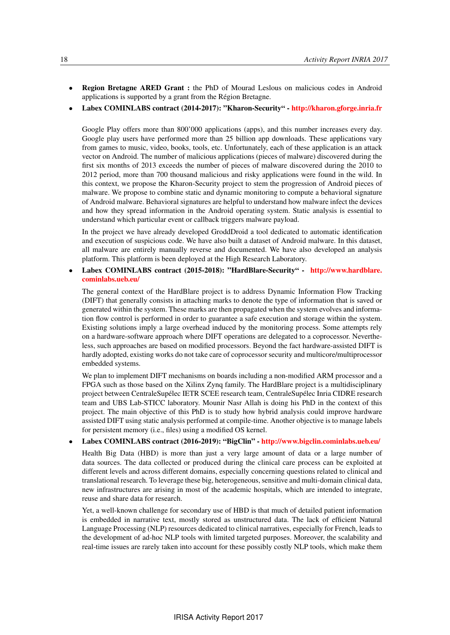- Region Bretagne ARED Grant : the PhD of Mourad Leslous on malicious codes in Android applications is supported by a grant from the Région Bretagne.
- Labex COMINLABS contract (2014-2017): "Kharon-Security" http://kharon.gforge.inria.fr

Google Play offers more than 800'000 applications (apps), and this number increases every day. Google play users have performed more than 25 billion app downloads. These applications vary from games to music, video, books, tools, etc. Unfortunately, each of these application is an attack vector on Android. The number of malicious applications (pieces of malware) discovered during the first six months of 2013 exceeds the number of pieces of malware discovered during the 2010 to 2012 period, more than 700 thousand malicious and risky applications were found in the wild. In this context, we propose the Kharon-Security project to stem the progression of Android pieces of malware. We propose to combine static and dynamic monitoring to compute a behavioral signature of Android malware. Behavioral signatures are helpful to understand how malware infect the devices and how they spread information in the Android operating system. Static analysis is essential to understand which particular event or callback triggers malware payload.

In the project we have already developed GroddDroid a tool dedicated to automatic identification and execution of suspicious code. We have also built a dataset of Android malware. In this dataset, all malware are entirely manually reverse and documented. We have also developed an analysis platform. This platform is been deployed at the High Research Laboratory.

• Labex COMINLABS contract (2015-2018): "HardBlare-Security" - http://www.hardblare. cominlabs.ueb.eu/

The general context of the HardBlare project is to address Dynamic Information Flow Tracking (DIFT) that generally consists in attaching marks to denote the type of information that is saved or generated within the system. These marks are then propagated when the system evolves and information flow control is performed in order to guarantee a safe execution and storage within the system. Existing solutions imply a large overhead induced by the monitoring process. Some attempts rely on a hardware-software approach where DIFT operations are delegated to a coprocessor. Nevertheless, such approaches are based on modified processors. Beyond the fact hardware-assisted DIFT is hardly adopted, existing works do not take care of coprocessor security and multicore/multiprocessor embedded systems.

We plan to implement DIFT mechanisms on boards including a non-modified ARM processor and a FPGA such as those based on the Xilinx Zynq family. The HardBlare project is a multidisciplinary project between CentraleSupélec IETR SCEE research team, CentraleSupélec Inria CIDRE research team and UBS Lab-STICC laboratory. Mounir Nasr Allah is doing his PhD in the context of this project. The main objective of this PhD is to study how hybrid analysis could improve hardware assisted DIFT using static analysis performed at compile-time. Another objective is to manage labels for persistent memory (i.e., files) using a modified OS kernel.

#### • Labex COMINLABS contract (2016-2019): "BigClin" - http://www.bigclin.cominlabs.ueb.eu/

Health Big Data (HBD) is more than just a very large amount of data or a large number of data sources. The data collected or produced during the clinical care process can be exploited at different levels and across different domains, especially concerning questions related to clinical and translational research. To leverage these big, heterogeneous, sensitive and multi-domain clinical data, new infrastructures are arising in most of the academic hospitals, which are intended to integrate, reuse and share data for research.

Yet, a well-known challenge for secondary use of HBD is that much of detailed patient information is embedded in narrative text, mostly stored as unstructured data. The lack of efficient Natural Language Processing (NLP) resources dedicated to clinical narratives, especially for French, leads to the development of ad-hoc NLP tools with limited targeted purposes. Moreover, the scalability and real-time issues are rarely taken into account for these possibly costly NLP tools, which make them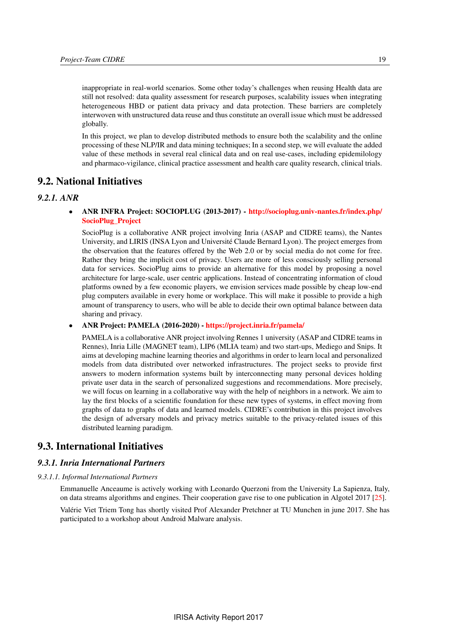inappropriate in real-world scenarios. Some other today's challenges when reusing Health data are still not resolved: data quality assessment for research purposes, scalability issues when integrating heterogeneous HBD or patient data privacy and data protection. These barriers are completely interwoven with unstructured data reuse and thus constitute an overall issue which must be addressed globally.

In this project, we plan to develop distributed methods to ensure both the scalability and the online processing of these NLP/IR and data mining techniques; In a second step, we will evaluate the added value of these methods in several real clinical data and on real use-cases, including epidemilology and pharmaco-vigilance, clinical practice assessment and health care quality research, clinical trials.

## 9.2. National Initiatives

#### *9.2.1. ANR*

• ANR INFRA Project: SOCIOPLUG (2013-2017) - http://socioplug.univ-nantes.fr/index.php/ SocioPlug\_Project

SocioPlug is a collaborative ANR project involving Inria (ASAP and CIDRE teams), the Nantes University, and LIRIS (INSA Lyon and Université Claude Bernard Lyon). The project emerges from the observation that the features offered by the Web 2.0 or by social media do not come for free. Rather they bring the implicit cost of privacy. Users are more of less consciously selling personal data for services. SocioPlug aims to provide an alternative for this model by proposing a novel architecture for large-scale, user centric applications. Instead of concentrating information of cloud platforms owned by a few economic players, we envision services made possible by cheap low-end plug computers available in every home or workplace. This will make it possible to provide a high amount of transparency to users, who will be able to decide their own optimal balance between data sharing and privacy.

• ANR Project: PAMELA (2016-2020) - https://project.inria.fr/pamela/

PAMELA is a collaborative ANR project involving Rennes 1 university (ASAP and CIDRE teams in Rennes), Inria Lille (MAGNET team), LIP6 (MLIA team) and two start-ups, Mediego and Snips. It aims at developing machine learning theories and algorithms in order to learn local and personalized models from data distributed over networked infrastructures. The project seeks to provide first answers to modern information systems built by interconnecting many personal devices holding private user data in the search of personalized suggestions and recommendations. More precisely, we will focus on learning in a collaborative way with the help of neighbors in a network. We aim to lay the first blocks of a scientific foundation for these new types of systems, in effect moving from graphs of data to graphs of data and learned models. CIDRE's contribution in this project involves the design of adversary models and privacy metrics suitable to the privacy-related issues of this distributed learning paradigm.

## 9.3. International Initiatives

#### *9.3.1. Inria International Partners*

#### *9.3.1.1. Informal International Partners*

Emmanuelle Anceaume is actively working with Leonardo Querzoni from the University La Sapienza, Italy, on data streams algorithms and engines. Their cooperation gave rise to one publication in Algotel 2017 [25].

Valérie Viet Triem Tong has shortly visited Prof Alexander Pretchner at TU Munchen in june 2017. She has participated to a workshop about Android Malware analysis.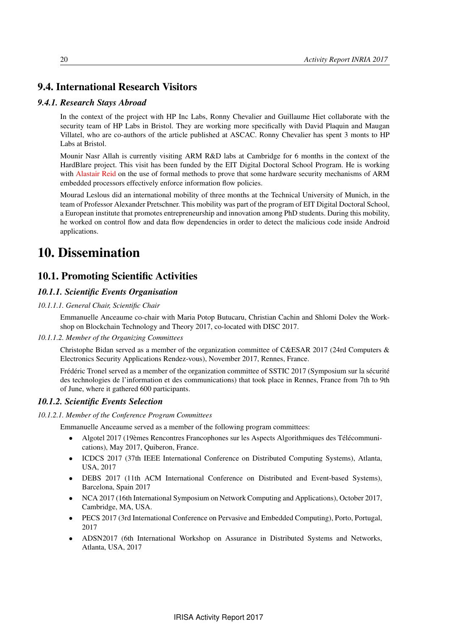## 9.4. International Research Visitors

#### *9.4.1. Research Stays Abroad*

In the context of the project with HP Inc Labs, Ronny Chevalier and Guillaume Hiet collaborate with the security team of HP Labs in Bristol. They are working more specifically with David Plaquin and Maugan Villatel, who are co-authors of the article published at ASCAC. Ronny Chevalier has spent 3 monts to HP Labs at Bristol.

Mounir Nasr Allah is currently visiting ARM R&D labs at Cambridge for 6 months in the context of the HardBlare project. This visit has been funded by the EIT Digital Doctoral School Program. He is working with Alastair Reid on the use of formal methods to prove that some hardware security mechanisms of ARM embedded processors effectively enforce information flow policies.

Mourad Leslous did an international mobility of three months at the Technical University of Munich, in the team of Professor Alexander Pretschner. This mobility was part of the program of EIT Digital Doctoral School, a European institute that promotes entrepreneurship and innovation among PhD students. During this mobility, he worked on control flow and data flow dependencies in order to detect the malicious code inside Android applications.

## 10. Dissemination

## 10.1. Promoting Scientific Activities

#### *10.1.1. Scientific Events Organisation*

*10.1.1.1. General Chair, Scientific Chair*

Emmanuelle Anceaume co-chair with Maria Potop Butucaru, Christian Cachin and Shlomi Dolev the Workshop on Blockchain Technology and Theory 2017, co-located with DISC 2017.

#### *10.1.1.2. Member of the Organizing Committees*

Christophe Bidan served as a member of the organization committee of C&ESAR 2017 (24rd Computers & Electronics Security Applications Rendez-vous), November 2017, Rennes, France.

Frédéric Tronel served as a member of the organization committee of SSTIC 2017 (Symposium sur la sécurité des technologies de l'information et des communications) that took place in Rennes, France from 7th to 9th of June, where it gathered 600 participants.

#### *10.1.2. Scientific Events Selection*

*10.1.2.1. Member of the Conference Program Committees*

Emmanuelle Anceaume served as a member of the following program committees:

- Algotel 2017 (19èmes Rencontres Francophones sur les Aspects Algorithmiques des Télécommunications), May 2017, Quiberon, France.
- ICDCS 2017 (37th IEEE International Conference on Distributed Computing Systems), Atlanta, USA, 2017
- DEBS 2017 (11th ACM International Conference on Distributed and Event-based Systems), Barcelona, Spain 2017
- NCA 2017 (16th International Symposium on Network Computing and Applications), October 2017, Cambridge, MA, USA.
- PECS 2017 (3rd International Conference on Pervasive and Embedded Computing), Porto, Portugal, 2017
- ADSN2017 (6th International Workshop on Assurance in Distributed Systems and Networks, Atlanta, USA, 2017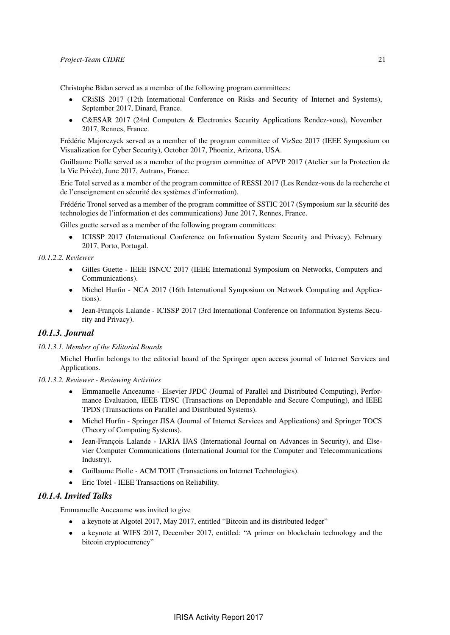Christophe Bidan served as a member of the following program committees:

- CRiSIS 2017 (12th International Conference on Risks and Security of Internet and Systems), September 2017, Dinard, France.
- C&ESAR 2017 (24rd Computers & Electronics Security Applications Rendez-vous), November 2017, Rennes, France.

Frédéric Majorczyck served as a member of the program committee of VizSec 2017 (IEEE Symposium on Visualization for Cyber Security), October 2017, Phoeniz, Arizona, USA.

Guillaume Piolle served as a member of the program committee of APVP 2017 (Atelier sur la Protection de la Vie Privée), June 2017, Autrans, France.

Eric Totel served as a member of the program committee of RESSI 2017 (Les Rendez-vous de la recherche et de l'enseignement en sécurité des systèmes d'information).

Frédéric Tronel served as a member of the program committee of SSTIC 2017 (Symposium sur la sécurité des technologies de l'information et des communications) June 2017, Rennes, France.

Gilles guette served as a member of the following program committees:

• ICISSP 2017 (International Conference on Information System Security and Privacy), February 2017, Porto, Portugal.

#### *10.1.2.2. Reviewer*

- Gilles Guette IEEE ISNCC 2017 (IEEE International Symposium on Networks, Computers and Communications).
- Michel Hurfin NCA 2017 (16th International Symposium on Network Computing and Applications).
- Jean-François Lalande ICISSP 2017 (3rd International Conference on Information Systems Security and Privacy).

#### *10.1.3. Journal*

#### *10.1.3.1. Member of the Editorial Boards*

Michel Hurfin belongs to the editorial board of the Springer open access journal of Internet Services and Applications.

#### *10.1.3.2. Reviewer - Reviewing Activities*

- Emmanuelle Anceaume Elsevier JPDC (Journal of Parallel and Distributed Computing), Performance Evaluation, IEEE TDSC (Transactions on Dependable and Secure Computing), and IEEE TPDS (Transactions on Parallel and Distributed Systems).
- Michel Hurfin Springer JISA (Journal of Internet Services and Applications) and Springer TOCS (Theory of Computing Systems).
- Jean-François Lalande IARIA IJAS (International Journal on Advances in Security), and Elsevier Computer Communications (International Journal for the Computer and Telecommunications Industry).
- Guillaume Piolle ACM TOIT (Transactions on Internet Technologies).
- Eric Totel IEEE Transactions on Reliability.

### *10.1.4. Invited Talks*

Emmanuelle Anceaume was invited to give

- a keynote at Algotel 2017, May 2017, entitled "Bitcoin and its distributed ledger"
- a keynote at WIFS 2017, December 2017, entitled: "A primer on blockchain technology and the bitcoin cryptocurrency"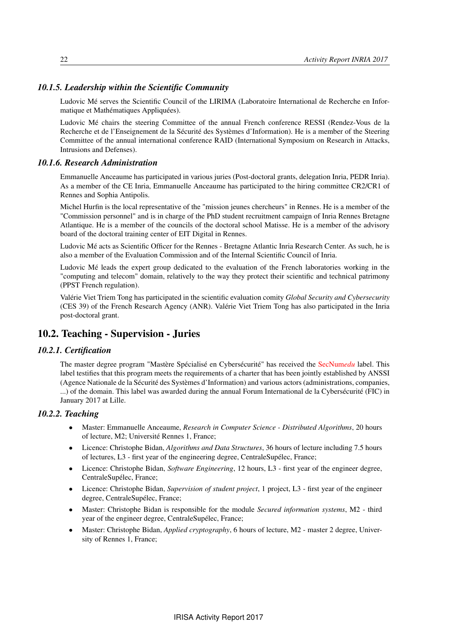#### *10.1.5. Leadership within the Scientific Community*

Ludovic Mé serves the Scientific Council of the LIRIMA (Laboratoire International de Recherche en Informatique et Mathématiques Appliquées).

Ludovic Mé chairs the steering Committee of the annual French conference RESSI (Rendez-Vous de la Recherche et de l'Enseignement de la Sécurité des Systèmes d'Information). He is a member of the Steering Committee of the annual international conference RAID (International Symposium on Research in Attacks, Intrusions and Defenses).

#### *10.1.6. Research Administration*

Emmanuelle Anceaume has participated in various juries (Post-doctoral grants, delegation Inria, PEDR Inria). As a member of the CE Inria, Emmanuelle Anceaume has participated to the hiring committee CR2/CR1 of Rennes and Sophia Antipolis.

Michel Hurfin is the local representative of the "mission jeunes chercheurs" in Rennes. He is a member of the "Commission personnel" and is in charge of the PhD student recruitment campaign of Inria Rennes Bretagne Atlantique. He is a member of the councils of the doctoral school Matisse. He is a member of the advisory board of the doctoral training center of EIT Digital in Rennes.

Ludovic Mé acts as Scientific Officer for the Rennes - Bretagne Atlantic Inria Research Center. As such, he is also a member of the Evaluation Commission and of the Internal Scientific Council of Inria.

Ludovic Mé leads the expert group dedicated to the evaluation of the French laboratories working in the "computing and telecom" domain, relatively to the way they protect their scientific and technical patrimony (PPST French regulation).

Valérie Viet Triem Tong has participated in the scientific evaluation comity *Global Security and Cybersecurity* (CES 39) of the French Research Agency (ANR). Valérie Viet Triem Tong has also participated in the Inria post-doctoral grant.

## 10.2. Teaching - Supervision - Juries

#### *10.2.1. Certification*

The master degree program "Mastère Spécialisé en Cybersécurité" has received the SecNum*edu* label. This label testifies that this program meets the requirements of a charter that has been jointly established by ANSSI (Agence Nationale de la Sécurité des Systèmes d'Information) and various actors (administrations, companies, ...) of the domain. This label was awarded during the annual Forum International de la Cybersécurité (FIC) in January 2017 at Lille.

#### *10.2.2. Teaching*

- Master: Emmanuelle Anceaume, *Research in Computer Science Distributed Algorithms*, 20 hours of lecture, M2; Université Rennes 1, France;
- Licence: Christophe Bidan, *Algorithms and Data Structures*, 36 hours of lecture including 7.5 hours of lectures, L3 - first year of the engineering degree, CentraleSupélec, France;
- Licence: Christophe Bidan, *Software Engineering*, 12 hours, L3 first year of the engineer degree, CentraleSupélec, France;
- Licence: Christophe Bidan, *Supervision of student project*, 1 project, L3 first year of the engineer degree, CentraleSupélec, France;
- Master: Christophe Bidan is responsible for the module *Secured information systems*, M2 third year of the engineer degree, CentraleSupélec, France;
- Master: Christophe Bidan, *Applied cryptography*, 6 hours of lecture, M2 master 2 degree, University of Rennes 1, France;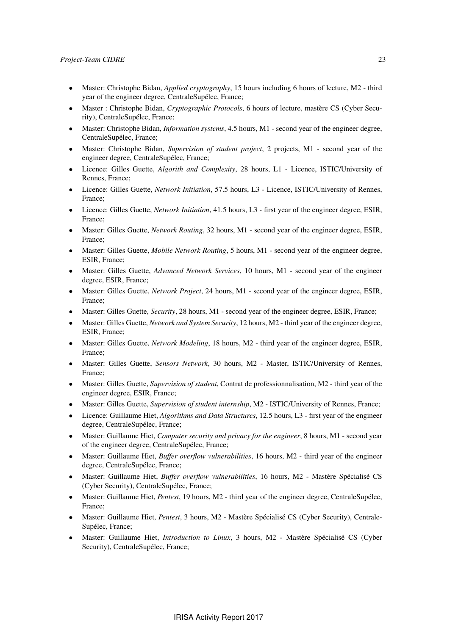- Master: Christophe Bidan, *Applied cryptography*, 15 hours including 6 hours of lecture, M2 third year of the engineer degree, CentraleSupélec, France;
- Master : Christophe Bidan, *Cryptographic Protocols*, 6 hours of lecture, mastère CS (Cyber Security), CentraleSupélec, France;
- Master: Christophe Bidan, *Information systems*, 4.5 hours, M1 second year of the engineer degree, CentraleSupélec, France;
- Master: Christophe Bidan, *Supervision of student project*, 2 projects, M1 second year of the engineer degree, CentraleSupélec, France;
- Licence: Gilles Guette, *Algorith and Complexity*, 28 hours, L1 Licence, ISTIC/University of Rennes, France;
- Licence: Gilles Guette, *Network Initiation*, 57.5 hours, L3 Licence, ISTIC/University of Rennes, France;
- Licence: Gilles Guette, *Network Initiation*, 41.5 hours, L3 first year of the engineer degree, ESIR, France;
- Master: Gilles Guette, *Network Routing*, 32 hours, M1 second year of the engineer degree, ESIR, France;
- Master: Gilles Guette, *Mobile Network Routing*, 5 hours, M1 second year of the engineer degree, ESIR, France;
- Master: Gilles Guette, *Advanced Network Services*, 10 hours, M1 second year of the engineer degree, ESIR, France;
- Master: Gilles Guette, *Network Project*, 24 hours, M1 second year of the engineer degree, ESIR, France;
- Master: Gilles Guette, *Security*, 28 hours, M1 second year of the engineer degree, ESIR, France;
- Master: Gilles Guette, *Network and System Security*, 12 hours, M2 third year of the engineer degree, ESIR, France;
- Master: Gilles Guette, *Network Modeling*, 18 hours, M2 third year of the engineer degree, ESIR, France;
- Master: Gilles Guette, *Sensors Network*, 30 hours, M2 Master, ISTIC/University of Rennes, France;
- Master: Gilles Guette, *Supervision of student*, Contrat de professionnalisation, M2 third year of the engineer degree, ESIR, France;
- Master: Gilles Guette, *Supervision of student internship*, M2 ISTIC/University of Rennes, France;
- Licence: Guillaume Hiet, *Algorithms and Data Structures*, 12.5 hours, L3 first year of the engineer degree, CentraleSupélec, France;
- Master: Guillaume Hiet, *Computer security and privacy for the engineer*, 8 hours, M1 second year of the engineer degree, CentraleSupélec, France;
- Master: Guillaume Hiet, *Buffer overflow vulnerabilities*, 16 hours, M2 third year of the engineer degree, CentraleSupélec, France;
- Master: Guillaume Hiet, *Buffer overflow vulnerabilities*, 16 hours, M2 Mastère Spécialisé CS (Cyber Security), CentraleSupélec, France;
- Master: Guillaume Hiet, *Pentest*, 19 hours, M2 third year of the engineer degree, CentraleSupélec, France;
- Master: Guillaume Hiet, *Pentest*, 3 hours, M2 Mastère Spécialisé CS (Cyber Security), Centrale-Supélec, France;
- Master: Guillaume Hiet, *Introduction to Linux*, 3 hours, M2 Mastère Spécialisé CS (Cyber Security), CentraleSupélec, France;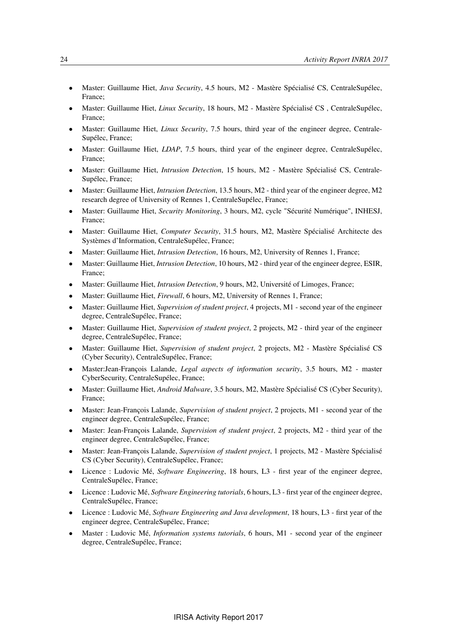- Master: Guillaume Hiet, *Java Security*, 4.5 hours, M2 Mastère Spécialisé CS, CentraleSupélec, France;
- Master: Guillaume Hiet, *Linux Security*, 18 hours, M2 Mastère Spécialisé CS , CentraleSupélec, France;
- Master: Guillaume Hiet, *Linux Security*, 7.5 hours, third year of the engineer degree, Centrale-Supélec, France;
- Master: Guillaume Hiet, *LDAP*, 7.5 hours, third year of the engineer degree, CentraleSupélec, France;
- Master: Guillaume Hiet, *Intrusion Detection*, 15 hours, M2 Mastère Spécialisé CS, Centrale-Supélec, France;
- Master: Guillaume Hiet, *Intrusion Detection*, 13.5 hours, M2 third year of the engineer degree, M2 research degree of University of Rennes 1, CentraleSupélec, France;
- Master: Guillaume Hiet, *Security Monitoring*, 3 hours, M2, cycle "Sécurité Numérique", INHESJ, France;
- Master: Guillaume Hiet, *Computer Security*, 31.5 hours, M2, Mastère Spécialisé Architecte des Systèmes d'Information, CentraleSupélec, France;
- Master: Guillaume Hiet, *Intrusion Detection*, 16 hours, M2, University of Rennes 1, France;
- Master: Guillaume Hiet, *Intrusion Detection*, 10 hours, M2 third year of the engineer degree, ESIR, France;
- Master: Guillaume Hiet, *Intrusion Detection*, 9 hours, M2, Université of Limoges, France;
- Master: Guillaume Hiet, *Firewall*, 6 hours, M2, University of Rennes 1, France;
- Master: Guillaume Hiet, *Supervision of student project*, 4 projects, M1 second year of the engineer degree, CentraleSupélec, France;
- Master: Guillaume Hiet, *Supervision of student project*, 2 projects, M2 third year of the engineer degree, CentraleSupélec, France;
- Master: Guillaume Hiet, *Supervision of student project*, 2 projects, M2 Mastère Spécialisé CS (Cyber Security), CentraleSupélec, France;
- Master:Jean-François Lalande, *Legal aspects of information security*, 3.5 hours, M2 master CyberSecurity, CentraleSupélec, France;
- Master: Guillaume Hiet, *Android Malware*, 3.5 hours, M2, Mastère Spécialisé CS (Cyber Security), France;
- Master: Jean-François Lalande, *Supervision of student project*, 2 projects, M1 second year of the engineer degree, CentraleSupélec, France;
- Master: Jean-François Lalande, *Supervision of student project*, 2 projects, M2 third year of the engineer degree, CentraleSupélec, France;
- Master: Jean-François Lalande, *Supervision of student project*, 1 projects, M2 Mastère Spécialisé CS (Cyber Security), CentraleSupélec, France;
- Licence : Ludovic Mé, *Software Engineering*, 18 hours, L3 first year of the engineer degree, CentraleSupélec, France;
- Licence : Ludovic Mé, *Software Engineering tutorials*, 6 hours, L3 first year of the engineer degree, CentraleSupélec, France;
- Licence : Ludovic Mé, *Software Engineering and Java development*, 18 hours, L3 first year of the engineer degree, CentraleSupélec, France;
- Master : Ludovic Mé, *Information systems tutorials*, 6 hours, M1 second year of the engineer degree, CentraleSupélec, France;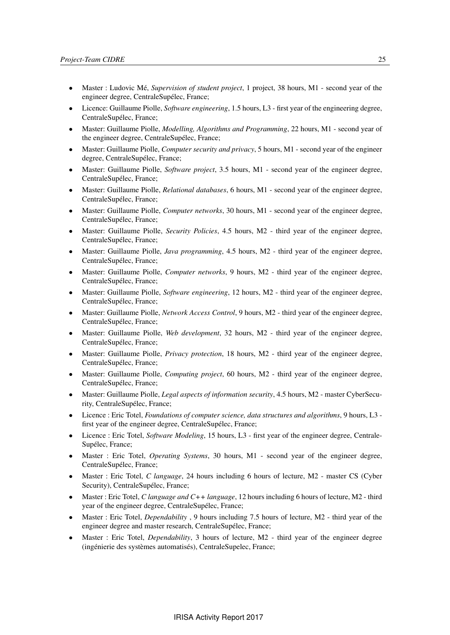- Master : Ludovic Mé, *Supervision of student project*, 1 project, 38 hours, M1 second year of the engineer degree, CentraleSupélec, France;
- Licence: Guillaume Piolle, *Software engineering*, 1.5 hours, L3 first year of the engineering degree, CentraleSupélec, France;
- Master: Guillaume Piolle, *Modelling, Algorithms and Programming*, 22 hours, M1 second year of the engineer degree, CentraleSupélec, France;
- Master: Guillaume Piolle, *Computer security and privacy*, 5 hours, M1 second year of the engineer degree, CentraleSupélec, France;
- Master: Guillaume Piolle, *Software project*, 3.5 hours, M1 second year of the engineer degree, CentraleSupélec, France;
- Master: Guillaume Piolle, *Relational databases*, 6 hours, M1 second year of the engineer degree, CentraleSupélec, France;
- Master: Guillaume Piolle, *Computer networks*, 30 hours, M1 second year of the engineer degree, CentraleSupélec, France;
- Master: Guillaume Piolle, *Security Policies*, 4.5 hours, M2 third year of the engineer degree, CentraleSupélec, France;
- Master: Guillaume Piolle, *Java programming*, 4.5 hours, M2 third year of the engineer degree, CentraleSupélec, France;
- Master: Guillaume Piolle, *Computer networks*, 9 hours, M2 third year of the engineer degree, CentraleSupélec, France;
- Master: Guillaume Piolle, *Software engineering*, 12 hours, M2 third year of the engineer degree, CentraleSupélec, France;
- Master: Guillaume Piolle, *Network Access Control*, 9 hours, M2 third year of the engineer degree, CentraleSupélec, France;
- Master: Guillaume Piolle, *Web development*, 32 hours, M2 third year of the engineer degree, CentraleSupélec, France;
- Master: Guillaume Piolle, *Privacy protection*, 18 hours, M2 third year of the engineer degree, CentraleSupélec, France;
- Master: Guillaume Piolle, *Computing project*, 60 hours, M2 third year of the engineer degree, CentraleSupélec, France;
- Master: Guillaume Piolle, *Legal aspects of information security*, 4.5 hours, M2 master CyberSecurity, CentraleSupélec, France;
- Licence : Eric Totel, *Foundations of computer science, data structures and algorithms*, 9 hours, L3 first year of the engineer degree, CentraleSupélec, France;
- Licence : Eric Totel, *Software Modeling*, 15 hours, L3 first year of the engineer degree, Centrale-Supélec, France;
- Master : Eric Totel, *Operating Systems*, 30 hours, M1 second year of the engineer degree, CentraleSupélec, France;
- Master : Eric Totel, *C language*, 24 hours including 6 hours of lecture, M2 master CS (Cyber Security), CentraleSupélec, France;
- Master : Eric Totel, *C language and C++ language*, 12 hours including 6 hours of lecture, M2 third year of the engineer degree, CentraleSupélec, France;
- Master : Eric Totel, *Dependability* , 9 hours including 7.5 hours of lecture, M2 third year of the engineer degree and master research, CentraleSupélec, France;
- Master : Eric Totel, *Dependability*, 3 hours of lecture, M2 third year of the engineer degree (ingénierie des systèmes automatisés), CentraleSupelec, France;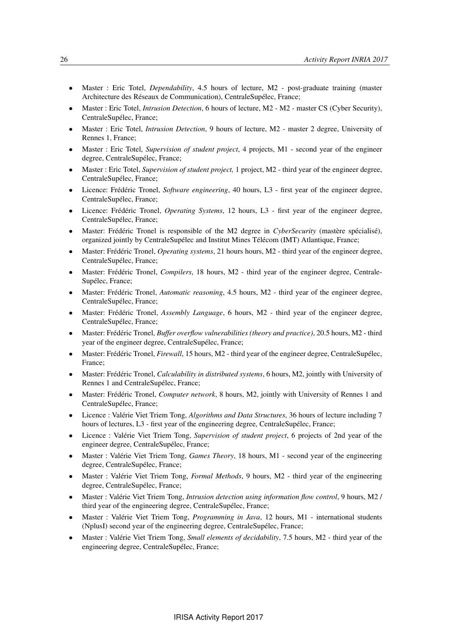- Master : Eric Totel, *Dependability*, 4.5 hours of lecture, M2 post-graduate training (master Architecture des Réseaux de Communication), CentraleSupélec, France;
- Master : Eric Totel, *Intrusion Detection*, 6 hours of lecture, M2 M2 master CS (Cyber Security), CentraleSupélec, France;
- Master : Eric Totel, *Intrusion Detection*, 9 hours of lecture, M2 master 2 degree, University of Rennes 1, France;
- Master : Eric Totel, *Supervision of student project*, 4 projects, M1 second year of the engineer degree, CentraleSupélec, France;
- Master : Eric Totel, *Supervision of student project*, 1 project, M2 third year of the engineer degree, CentraleSupélec, France;
- Licence: Frédéric Tronel, *Software engineering*, 40 hours, L3 first year of the engineer degree, CentraleSupélec, France;
- Licence: Frédéric Tronel, *Operating Systems*, 12 hours, L3 first year of the engineer degree, CentraleSupélec, France;
- Master: Frédéric Tronel is responsible of the M2 degree in *CyberSecurity* (mastère spécialisé), organized jointly by CentraleSupélec and Institut Mines Télécom (IMT) Atlantique, France;
- Master: Frédéric Tronel, *Operating systems*, 21 hours hours, M2 third year of the engineer degree, CentraleSupélec, France;
- Master: Frédéric Tronel, *Compilers*, 18 hours, M2 third year of the engineer degree, Centrale-Supélec, France;
- Master: Frédéric Tronel, *Automatic reasoning*, 4.5 hours, M<sub>2</sub> third year of the engineer degree, CentraleSupélec, France;
- Master: Frédéric Tronel, *Assembly Language*, 6 hours, M2 third year of the engineer degree, CentraleSupélec, France;
- Master: Frédéric Tronel, *Buffer overflow vulnerabilities (theory and practice)*, 20.5 hours, M2 third year of the engineer degree, CentraleSupélec, France;
- Master: Frédéric Tronel, *Firewall*, 15 hours, M2 third year of the engineer degree, CentraleSupélec, France;
- Master: Frédéric Tronel, *Calculability in distributed systems*, 6 hours, M2, jointly with University of Rennes 1 and CentraleSupélec, France;
- Master: Frédéric Tronel, *Computer network*, 8 hours, M2, jointly with University of Rennes 1 and CentraleSupélec, France;
- Licence : Valérie Viet Triem Tong, *Algorithms and Data Structures*, 36 hours of lecture including 7 hours of lectures, L3 - first year of the engineering degree, CentraleSupélec, France;
- Licence : Valérie Viet Triem Tong, *Supervision of student project*, 6 projects of 2nd year of the engineer degree, CentraleSupélec, France;
- Master : Valérie Viet Triem Tong, *Games Theory*, 18 hours, M1 second year of the engineering degree, CentraleSupélec, France;
- Master : Valérie Viet Triem Tong, *Formal Methods*, 9 hours, M2 third year of the engineering degree, CentraleSupélec, France;
- Master : Valérie Viet Triem Tong, *Intrusion detection using information flow control*, 9 hours, M2 / third year of the engineering degree, CentraleSupélec, France;
- Master : Valérie Viet Triem Tong, *Programming in Java*, 12 hours, M1 international students (NplusI) second year of the engineering degree, CentraleSupélec, France;
- Master : Valérie Viet Triem Tong, *Small elements of decidability*, 7.5 hours, M2 third year of the engineering degree, CentraleSupélec, France;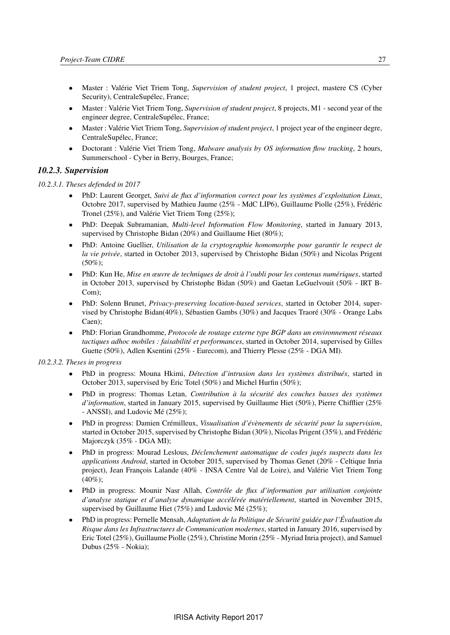- Master : Valérie Viet Triem Tong, *Supervision of student project*, 1 project, mastere CS (Cyber Security), CentraleSupélec, France;
- Master : Valérie Viet Triem Tong, *Supervision of student project*, 8 projects, M1 second year of the engineer degree, CentraleSupélec, France;
- Master : Valérie Viet Triem Tong, *Supervision of student project*, 1 project year of the engineer degre, CentraleSupélec, France;
- Doctorant : Valérie Viet Triem Tong, *Malware analysis by OS information flow tracking*, 2 hours, Summerschool - Cyber in Berry, Bourges, France;

#### *10.2.3. Supervision*

*10.2.3.1. Theses defended in 2017*

- PhD: Laurent Georget, *Suivi de flux d'information correct pour les systèmes d'exploitation Linux*, Octobre 2017, supervised by Mathieu Jaume (25% - MdC LIP6), Guillaume Piolle (25%), Frédéric Tronel (25%), and Valérie Viet Triem Tong (25%);
- PhD: Deepak Subramanian, *Multi-level Information Flow Monitoring*, started in January 2013, supervised by Christophe Bidan (20%) and Guillaume Hiet (80%);
- PhD: Antoine Guellier, *Utilisation de la cryptographie homomorphe pour garantir le respect de la vie privée*, started in October 2013, supervised by Christophe Bidan (50%) and Nicolas Prigent (50%);
- PhD: Kun He, *Mise en œuvre de techniques de droit à l'oubli pour les contenus numériques*, started in October 2013, supervised by Christophe Bidan (50%) and Gaetan LeGuelvouit (50% - IRT B-Com);
- PhD: Solenn Brunet, *Privacy-preserving location-based services*, started in October 2014, supervised by Christophe Bidan(40%), Sébastien Gambs (30%) and Jacques Traoré (30% - Orange Labs Caen);
- PhD: Florian Grandhomme, *Protocole de routage externe type BGP dans un environnement réseaux tactiques adhoc mobiles : faisabilité et performances*, started in October 2014, supervised by Gilles Guette (50%), Adlen Ksentini (25% - Eurecom), and Thierry Plesse (25% - DGA MI).

*10.2.3.2. Theses in progress*

- PhD in progress: Mouna Hkimi, *Détection d'intrusion dans les systèmes distribués*, started in October 2013, supervised by Eric Totel (50%) and Michel Hurfin (50%);
- PhD in progress: Thomas Letan, *Contribution à la sécurité des couches basses des systèmes d'information*, started in January 2015, supervised by Guillaume Hiet (50%), Pierre Chifflier (25% - ANSSI), and Ludovic Mé (25%);
- PhD in progress: Damien Crémilleux, *Visualisation d'évènements de sécurité pour la supervision*, started in October 2015, supervised by Christophe Bidan (30%), Nicolas Prigent (35%), and Frédéric Majorczyk (35% - DGA MI);
- PhD in progress: Mourad Leslous, *Déclenchement automatique de codes jugés suspects dans les applications Android*, started in October 2015, supervised by Thomas Genet (20% - Celtique Inria project), Jean François Lalande (40% - INSA Centre Val de Loire), and Valérie Viet Triem Tong  $(40\%);$
- PhD in progress: Mounir Nasr Allah, *Contrôle de flux d'information par utilisation conjointe d'analyse statique et d'analyse dynamique accélérée matériellement*, started in November 2015, supervised by Guillaume Hiet (75%) and Ludovic Mé (25%);
- PhD in progress: Pernelle Mensah, *Adaptation de la Politique de Sécurité guidée par l'Évaluation du Risque dans les Infrastructures de Communication modernes*, started in January 2016, supervised by Eric Totel (25%), Guillaume Piolle (25%), Christine Morin (25% - Myriad Inria project), and Samuel Dubus (25% - Nokia);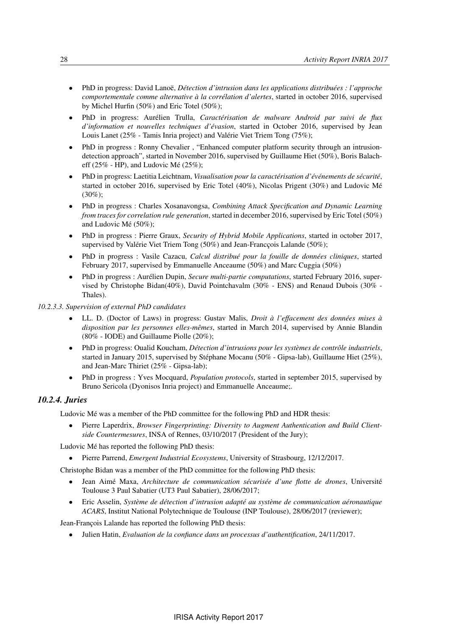- PhD in progress: David Lanoë, *Détection d'intrusion dans les applications distribuées : l'approche comportementale comme alternative à la corrélation d'alertes*, started in october 2016, supervised by Michel Hurfin (50%) and Eric Totel (50%);
- PhD in progress: Aurélien Trulla, *Caractérisation de malware Android par suivi de flux d'information et nouvelles techniques d'évasion*, started in October 2016, supervised by Jean Louis Lanet (25% - Tamis Inria project) and Valérie Viet Triem Tong (75%);
- PhD in progress : Ronny Chevalier, "Enhanced computer platform security through an intrusiondetection approach", started in November 2016, supervised by Guillaume Hiet (50%), Boris Balacheff (25% - HP), and Ludovic Mé (25%);
- PhD in progress: Laetitia Leichtnam, *Visualisation pour la caractérisation d'événements de sécurité*, started in october 2016, supervised by Eric Totel (40%), Nicolas Prigent (30%) and Ludovic Mé (30%);
- PhD in progress : Charles Xosanavongsa, *Combining Attack Specification and Dynamic Learning from traces for correlation rule generation*, started in december 2016, supervised by Eric Totel (50%) and Ludovic Mé (50%);
- PhD in progress : Pierre Graux, *Security of Hybrid Mobile Applications*, started in october 2017, supervised by Valérie Viet Triem Tong (50%) and Jean-Francçois Lalande (50%);
- PhD in progress : Vasile Cazacu, *Calcul distribué pour la fouille de données cliniques*, started February 2017, supervised by Emmanuelle Anceaume (50%) and Marc Cuggia (50%)
- PhD in progress : Aurélien Dupin, *Secure multi-partie computations*, started February 2016, supervised by Christophe Bidan(40%), David Pointchavalm (30% - ENS) and Renaud Dubois (30% - Thales).

#### *10.2.3.3. Supervision of external PhD candidates*

- LL. D. (Doctor of Laws) in progress: Gustav Malis, *Droit à l'effacement des données mises à disposition par les personnes elles-mêmes*, started in March 2014, supervised by Annie Blandin (80% - IODE) and Guillaume Piolle (20%);
- PhD in progress: Oualid Koucham, *Détection d'intrusions pour les systèmes de contrôle industriels*, started in January 2015, supervised by Stéphane Mocanu (50% - Gipsa-lab), Guillaume Hiet (25%), and Jean-Marc Thiriet (25% - Gipsa-lab);
- PhD in progress : Yves Mocquard, *Population protocols*, started in september 2015, supervised by Bruno Sericola (Dyonisos Inria project) and Emmanuelle Anceaume;.

#### *10.2.4. Juries*

Ludovic Mé was a member of the PhD committee for the following PhD and HDR thesis:

• Pierre Laperdrix, *Browser Fingerprinting: Diversity to Augment Authentication and Build Clientside Countermesures*, INSA of Rennes, 03/10/2017 (President of the Jury);

Ludovic Mé has reported the following PhD thesis:

• Pierre Parrend, *Emergent Industrial Ecosystems*, University of Strasbourg, 12/12/2017.

Christophe Bidan was a member of the PhD committee for the following PhD thesis:

- Jean Aimé Maxa, *Architecture de communication sécurisée d'une flotte de drones*, Université Toulouse 3 Paul Sabatier (UT3 Paul Sabatier), 28/06/2017;
- Eric Asselin, *Système de détection d'intrusion adapté au système de communication aéronautique ACARS*, Institut National Polytechnique de Toulouse (INP Toulouse), 28/06/2017 (reviewer);

Jean-François Lalande has reported the following PhD thesis:

• Julien Hatin, *Evaluation de la confiance dans un processus d'authentification*, 24/11/2017.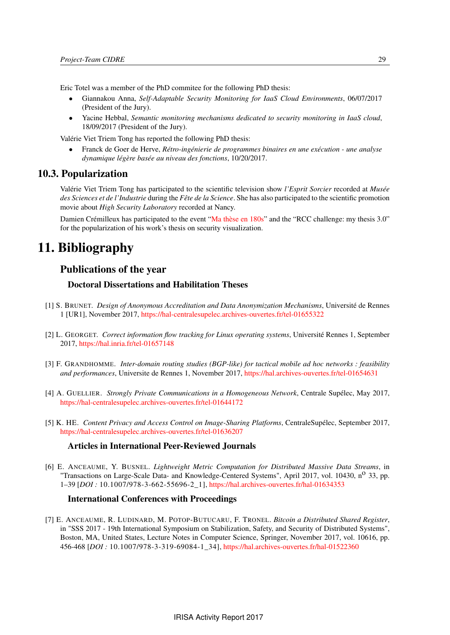Eric Totel was a member of the PhD commitee for the following PhD thesis:

- Giannakou Anna, *Self-Adaptable Security Monitoring for IaaS Cloud Environments*, 06/07/2017 (President of the Jury).
- Yacine Hebbal, *Semantic monitoring mechanisms dedicated to security monitoring in IaaS cloud*, 18/09/2017 (President of the Jury).

Valérie Viet Triem Tong has reported the following PhD thesis:

• Franck de Goer de Herve, *Rétro-ingénierie de programmes binaires en une exécution - une analyse dynamique légère basée au niveau des fonctions*, 10/20/2017.

### 10.3. Popularization

Valérie Viet Triem Tong has participated to the scientific television show *l'Esprit Sorcier* recorded at *Musée des Sciences et de l'Industrie* during the *Fête de la Science*. She has also participated to the scientific promotion movie about *High Security Laboratory* recorded at Nancy.

Damien Crémilleux has participated to the event "Ma thèse en 180s" and the "RCC challenge: my thesis 3.0" for the popularization of his work's thesis on security visualization.

## 11. Bibliography

### Publications of the year

#### Doctoral Dissertations and Habilitation Theses

- [1] S. BRUNET. *Design of Anonymous Accreditation and Data Anonymization Mechanisms*, Université de Rennes 1 [UR1], November 2017, https://hal-centralesupelec.archives-ouvertes.fr/tel-01655322
- [2] L. GEORGET. *Correct information flow tracking for Linux operating systems*, Université Rennes 1, September 2017, https://hal.inria.fr/tel-01657148
- [3] F. GRANDHOMME. *Inter-domain routing studies (BGP-like) for tactical mobile ad hoc networks : feasibility and performances*, Universite de Rennes 1, November 2017, https://hal.archives-ouvertes.fr/tel-01654631
- [4] A. GUELLIER. *Strongly Private Communications in a Homogeneous Network*, Centrale Supélec, May 2017, https://hal-centralesupelec.archives-ouvertes.fr/tel-01644172
- [5] K. HE. *Content Privacy and Access Control on Image-Sharing Platforms*, CentraleSupélec, September 2017, https://hal-centralesupelec.archives-ouvertes.fr/tel-01636207

#### Articles in International Peer-Reviewed Journals

[6] E. ANCEAUME, Y. BUSNEL. *Lightweight Metric Computation for Distributed Massive Data Streams*, in "Transactions on Large-Scale Data- and Knowledge-Centered Systems", April 2017, vol. 10430, n<sup>o</sup> 33, pp. 1–39 [*DOI :* 10.1007/978-3-662-55696-2\_1], https://hal.archives-ouvertes.fr/hal-01634353

#### International Conferences with Proceedings

[7] E. ANCEAUME, R. LUDINARD, M. POTOP-BUTUCARU, F. TRONEL. *Bitcoin a Distributed Shared Register*, in "SSS 2017 - 19th International Symposium on Stabilization, Safety, and Security of Distributed Systems", Boston, MA, United States, Lecture Notes in Computer Science, Springer, November 2017, vol. 10616, pp. 456-468 [*DOI :* 10.1007/978-3-319-69084-1\_34], https://hal.archives-ouvertes.fr/hal-01522360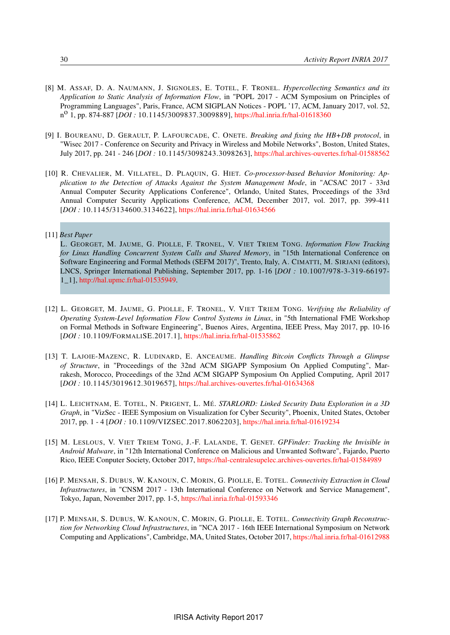- [8] M. ASSAF, D. A. NAUMANN, J. SIGNOLES, E. TOTEL, F. TRONEL. *Hypercollecting Semantics and its Application to Static Analysis of Information Flow*, in "POPL 2017 - ACM Symposium on Principles of Programming Languages", Paris, France, ACM SIGPLAN Notices - POPL '17, ACM, January 2017, vol. 52, n<sup>o</sup> 1, pp. 874-887 [*DOI*: 10.1145/3009837.3009889], https://hal.inria.fr/hal-01618360
- [9] I. BOUREANU, D. GERAULT, P. LAFOURCADE, C. ONETE. *Breaking and fixing the HB+DB protocol*, in "Wisec 2017 - Conference on Security and Privacy in Wireless and Mobile Networks", Boston, United States, July 2017, pp. 241 - 246 [*DOI :* 10.1145/3098243.3098263], https://hal.archives-ouvertes.fr/hal-01588562
- [10] R. CHEVALIER, M. VILLATEL, D. PLAQUIN, G. HIET. *Co-processor-based Behavior Monitoring: Application to the Detection of Attacks Against the System Management Mode*, in "ACSAC 2017 - 33rd Annual Computer Security Applications Conference", Orlando, United States, Proceedings of the 33rd Annual Computer Security Applications Conference, ACM, December 2017, vol. 2017, pp. 399-411 [*DOI :* 10.1145/3134600.3134622], https://hal.inria.fr/hal-01634566

#### [11] *Best Paper*

L. GEORGET, M. JAUME, G. PIOLLE, F. TRONEL, V. VIET TRIEM TONG. *Information Flow Tracking for Linux Handling Concurrent System Calls and Shared Memory*, in "15th International Conference on Software Engineering and Formal Methods (SEFM 2017)", Trento, Italy, A. CIMATTI, M. SIRJANI (editors), LNCS, Springer International Publishing, September 2017, pp. 1-16 [*DOI :* 10.1007/978-3-319-66197- 1\_1], http://hal.upmc.fr/hal-01535949.

- [12] L. GEORGET, M. JAUME, G. PIOLLE, F. TRONEL, V. VIET TRIEM TONG. *Verifying the Reliability of Operating System-Level Information Flow Control Systems in Linux*, in "5th International FME Workshop on Formal Methods in Software Engineering", Buenos Aires, Argentina, IEEE Press, May 2017, pp. 10-16 [*DOI :* 10.1109/FORMALISE.2017.1], https://hal.inria.fr/hal-01535862
- [13] T. LAJOIE-MAZENC, R. LUDINARD, E. ANCEAUME. *Handling Bitcoin Conflicts Through a Glimpse of Structure*, in "Proceedings of the 32nd ACM SIGAPP Symposium On Applied Computing", Marrakesh, Morocco, Proceedings of the 32nd ACM SIGAPP Symposium On Applied Computing, April 2017 [*DOI :* 10.1145/3019612.3019657], https://hal.archives-ouvertes.fr/hal-01634368
- [14] L. LEICHTNAM, E. TOTEL, N. PRIGENT, L. MÉ. *STARLORD: Linked Security Data Exploration in a 3D Graph*, in "VizSec - IEEE Symposium on Visualization for Cyber Security", Phoenix, United States, October 2017, pp. 1 - 4 [*DOI :* 10.1109/VIZSEC.2017.8062203], https://hal.inria.fr/hal-01619234
- [15] M. LESLOUS, V. VIET TRIEM TONG, J.-F. LALANDE, T. GENET. *GPFinder: Tracking the Invisible in Android Malware*, in "12th International Conference on Malicious and Unwanted Software", Fajardo, Puerto Rico, IEEE Conputer Society, October 2017, https://hal-centralesupelec.archives-ouvertes.fr/hal-01584989
- [16] P. MENSAH, S. DUBUS, W. KANOUN, C. MORIN, G. PIOLLE, E. TOTEL. *Connectivity Extraction in Cloud Infrastructures*, in "CNSM 2017 - 13th International Conference on Network and Service Management", Tokyo, Japan, November 2017, pp. 1-5, https://hal.inria.fr/hal-01593346
- [17] P. MENSAH, S. DUBUS, W. KANOUN, C. MORIN, G. PIOLLE, E. TOTEL. *Connectivity Graph Reconstruction for Networking Cloud Infrastructures*, in "NCA 2017 - 16th IEEE International Symposium on Network Computing and Applications", Cambridge, MA, United States, October 2017, https://hal.inria.fr/hal-01612988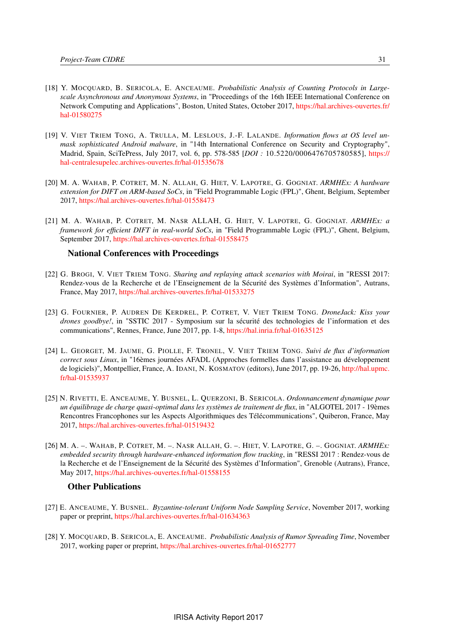- [18] Y. MOCQUARD, B. SERICOLA, E. ANCEAUME. *Probabilistic Analysis of Counting Protocols in Largescale Asynchronous and Anonymous Systems*, in "Proceedings of the 16th IEEE International Conference on Network Computing and Applications", Boston, United States, October 2017, https://hal.archives-ouvertes.fr/ hal-01580275
- [19] V. VIET TRIEM TONG, A. TRULLA, M. LESLOUS, J.-F. LALANDE. *Information flows at OS level unmask sophisticated Android malware*, in "14th International Conference on Security and Cryptography", Madrid, Spain, SciTePress, July 2017, vol. 6, pp. 578-585 [*DOI :* 10.5220/0006476705780585], https:// hal-centralesupelec.archives-ouvertes.fr/hal-01535678
- [20] M. A. WAHAB, P. COTRET, M. N. ALLAH, G. HIET, V. LAPOTRE, G. GOGNIAT. *ARMHEx: A hardware extension for DIFT on ARM-based SoCs*, in "Field Programmable Logic (FPL)", Ghent, Belgium, September 2017, https://hal.archives-ouvertes.fr/hal-01558473
- [21] M. A. WAHAB, P. COTRET, M. NASR ALLAH, G. HIET, V. LAPOTRE, G. GOGNIAT. *ARMHEx: a framework for efficient DIFT in real-world SoCs*, in "Field Programmable Logic (FPL)", Ghent, Belgium, September 2017, https://hal.archives-ouvertes.fr/hal-01558475

#### National Conferences with Proceedings

- [22] G. BROGI, V. VIET TRIEM TONG. *Sharing and replaying attack scenarios with Moirai*, in "RESSI 2017: Rendez-vous de la Recherche et de l'Enseignement de la Sécurité des Systèmes d'Information", Autrans, France, May 2017, https://hal.archives-ouvertes.fr/hal-01533275
- [23] G. FOURNIER, P. AUDREN DE KERDREL, P. COTRET, V. VIET TRIEM TONG. *DroneJack: Kiss your drones goodbye!*, in "SSTIC 2017 - Symposium sur la sécurité des technologies de l'information et des communications", Rennes, France, June 2017, pp. 1-8, https://hal.inria.fr/hal-01635125
- [24] L. GEORGET, M. JAUME, G. PIOLLE, F. TRONEL, V. VIET TRIEM TONG. *Suivi de flux d'information correct sous Linux*, in "16èmes journées AFADL (Approches formelles dans l'assistance au développement de logiciels)", Montpellier, France, A. IDANI, N. KOSMATOV (editors), June 2017, pp. 19-26, http://hal.upmc. fr/hal-01535937
- [25] N. RIVETTI, E. ANCEAUME, Y. BUSNEL, L. QUERZONI, B. SERICOLA. *Ordonnancement dynamique pour un équilibrage de charge quasi-optimal dans les systèmes de traitement de flux*, in "ALGOTEL 2017 - 19èmes Rencontres Francophones sur les Aspects Algorithmiques des Télécommunications", Quiberon, France, May 2017, https://hal.archives-ouvertes.fr/hal-01519432
- [26] M. A. –. WAHAB, P. COTRET, M. –. NASR ALLAH, G. –. HIET, V. LAPOTRE, G. –. GOGNIAT. *ARMHEx: embedded security through hardware-enhanced information flow tracking*, in "RESSI 2017 : Rendez-vous de la Recherche et de l'Enseignement de la Sécurité des Systèmes d'Information", Grenoble (Autrans), France, May 2017, https://hal.archives-ouvertes.fr/hal-01558155

#### Other Publications

- [27] E. ANCEAUME, Y. BUSNEL. *Byzantine-tolerant Uniform Node Sampling Service*, November 2017, working paper or preprint, https://hal.archives-ouvertes.fr/hal-01634363
- [28] Y. MOCQUARD, B. SERICOLA, E. ANCEAUME. *Probabilistic Analysis of Rumor Spreading Time*, November 2017, working paper or preprint, https://hal.archives-ouvertes.fr/hal-01652777